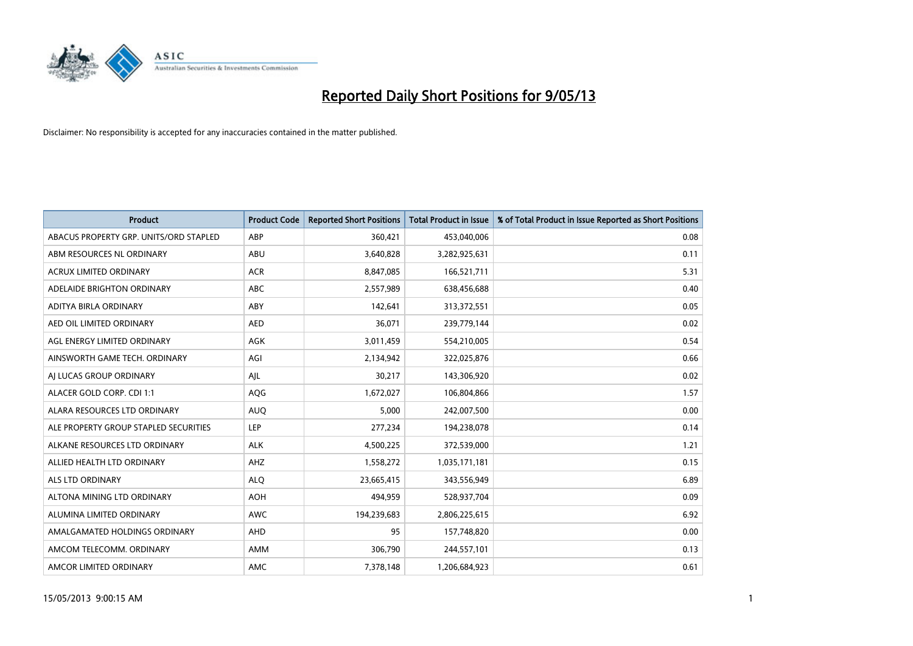

| <b>Product</b>                         | <b>Product Code</b> | <b>Reported Short Positions</b> | <b>Total Product in Issue</b> | % of Total Product in Issue Reported as Short Positions |
|----------------------------------------|---------------------|---------------------------------|-------------------------------|---------------------------------------------------------|
| ABACUS PROPERTY GRP. UNITS/ORD STAPLED | ABP                 | 360,421                         | 453,040,006                   | 0.08                                                    |
| ABM RESOURCES NL ORDINARY              | ABU                 | 3,640,828                       | 3,282,925,631                 | 0.11                                                    |
| <b>ACRUX LIMITED ORDINARY</b>          | <b>ACR</b>          | 8,847,085                       | 166,521,711                   | 5.31                                                    |
| ADELAIDE BRIGHTON ORDINARY             | <b>ABC</b>          | 2,557,989                       | 638,456,688                   | 0.40                                                    |
| ADITYA BIRLA ORDINARY                  | ABY                 | 142,641                         | 313,372,551                   | 0.05                                                    |
| AED OIL LIMITED ORDINARY               | <b>AED</b>          | 36,071                          | 239,779,144                   | 0.02                                                    |
| AGL ENERGY LIMITED ORDINARY            | AGK                 | 3,011,459                       | 554,210,005                   | 0.54                                                    |
| AINSWORTH GAME TECH. ORDINARY          | AGI                 | 2,134,942                       | 322,025,876                   | 0.66                                                    |
| AI LUCAS GROUP ORDINARY                | AJL                 | 30,217                          | 143,306,920                   | 0.02                                                    |
| ALACER GOLD CORP. CDI 1:1              | <b>AQG</b>          | 1,672,027                       | 106,804,866                   | 1.57                                                    |
| ALARA RESOURCES LTD ORDINARY           | <b>AUQ</b>          | 5,000                           | 242,007,500                   | 0.00                                                    |
| ALE PROPERTY GROUP STAPLED SECURITIES  | LEP                 | 277,234                         | 194,238,078                   | 0.14                                                    |
| ALKANE RESOURCES LTD ORDINARY          | <b>ALK</b>          | 4,500,225                       | 372,539,000                   | 1.21                                                    |
| ALLIED HEALTH LTD ORDINARY             | AHZ                 | 1,558,272                       | 1,035,171,181                 | 0.15                                                    |
| ALS LTD ORDINARY                       | <b>ALQ</b>          | 23,665,415                      | 343,556,949                   | 6.89                                                    |
| ALTONA MINING LTD ORDINARY             | <b>AOH</b>          | 494,959                         | 528,937,704                   | 0.09                                                    |
| ALUMINA LIMITED ORDINARY               | <b>AWC</b>          | 194,239,683                     | 2,806,225,615                 | 6.92                                                    |
| AMALGAMATED HOLDINGS ORDINARY          | AHD                 | 95                              | 157,748,820                   | 0.00                                                    |
| AMCOM TELECOMM, ORDINARY               | AMM                 | 306,790                         | 244,557,101                   | 0.13                                                    |
| AMCOR LIMITED ORDINARY                 | AMC                 | 7,378,148                       | 1,206,684,923                 | 0.61                                                    |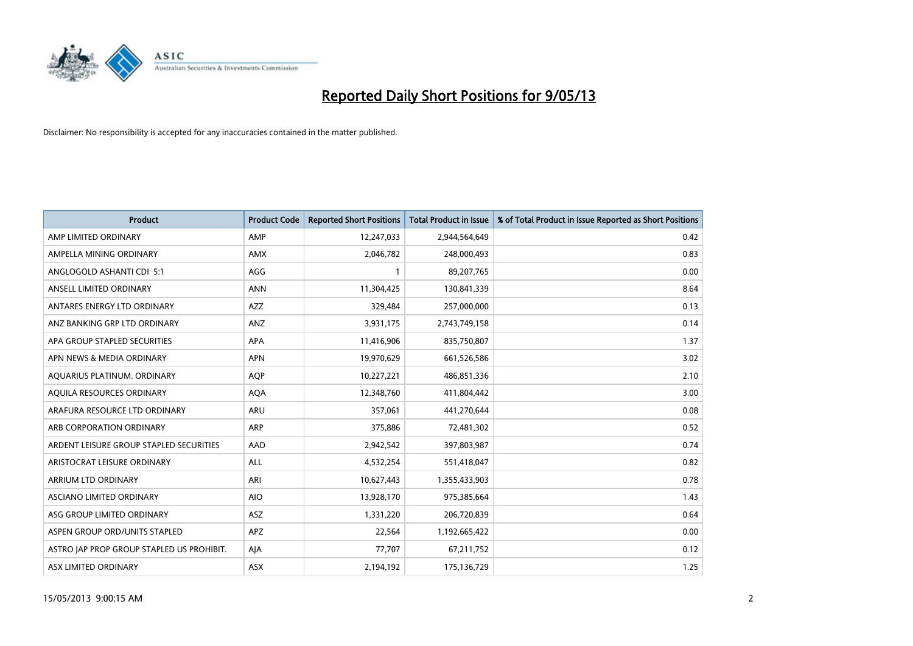

| <b>Product</b>                            | <b>Product Code</b> | <b>Reported Short Positions</b> | <b>Total Product in Issue</b> | % of Total Product in Issue Reported as Short Positions |
|-------------------------------------------|---------------------|---------------------------------|-------------------------------|---------------------------------------------------------|
| AMP LIMITED ORDINARY                      | AMP                 | 12,247,033                      | 2,944,564,649                 | 0.42                                                    |
| AMPELLA MINING ORDINARY                   | AMX                 | 2,046,782                       | 248,000,493                   | 0.83                                                    |
| ANGLOGOLD ASHANTI CDI 5:1                 | AGG                 | $\mathbf{1}$                    | 89,207,765                    | 0.00                                                    |
| ANSELL LIMITED ORDINARY                   | <b>ANN</b>          | 11,304,425                      | 130,841,339                   | 8.64                                                    |
| ANTARES ENERGY LTD ORDINARY               | <b>AZZ</b>          | 329,484                         | 257,000,000                   | 0.13                                                    |
| ANZ BANKING GRP LTD ORDINARY              | ANZ                 | 3,931,175                       | 2,743,749,158                 | 0.14                                                    |
| APA GROUP STAPLED SECURITIES              | APA                 | 11,416,906                      | 835,750,807                   | 1.37                                                    |
| APN NEWS & MEDIA ORDINARY                 | <b>APN</b>          | 19,970,629                      | 661,526,586                   | 3.02                                                    |
| AQUARIUS PLATINUM. ORDINARY               | <b>AOP</b>          | 10,227,221                      | 486,851,336                   | 2.10                                                    |
| AQUILA RESOURCES ORDINARY                 | <b>AQA</b>          | 12,348,760                      | 411,804,442                   | 3.00                                                    |
| ARAFURA RESOURCE LTD ORDINARY             | ARU                 | 357,061                         | 441,270,644                   | 0.08                                                    |
| ARB CORPORATION ORDINARY                  | ARP                 | 375,886                         | 72,481,302                    | 0.52                                                    |
| ARDENT LEISURE GROUP STAPLED SECURITIES   | AAD                 | 2,942,542                       | 397,803,987                   | 0.74                                                    |
| ARISTOCRAT LEISURE ORDINARY               | ALL                 | 4,532,254                       | 551,418,047                   | 0.82                                                    |
| ARRIUM LTD ORDINARY                       | ARI                 | 10,627,443                      | 1,355,433,903                 | 0.78                                                    |
| ASCIANO LIMITED ORDINARY                  | <b>AIO</b>          | 13,928,170                      | 975,385,664                   | 1.43                                                    |
| ASG GROUP LIMITED ORDINARY                | ASZ                 | 1,331,220                       | 206,720,839                   | 0.64                                                    |
| ASPEN GROUP ORD/UNITS STAPLED             | APZ                 | 22,564                          | 1,192,665,422                 | 0.00                                                    |
| ASTRO JAP PROP GROUP STAPLED US PROHIBIT. | AJA                 | 77,707                          | 67,211,752                    | 0.12                                                    |
| ASX LIMITED ORDINARY                      | ASX                 | 2,194,192                       | 175,136,729                   | 1.25                                                    |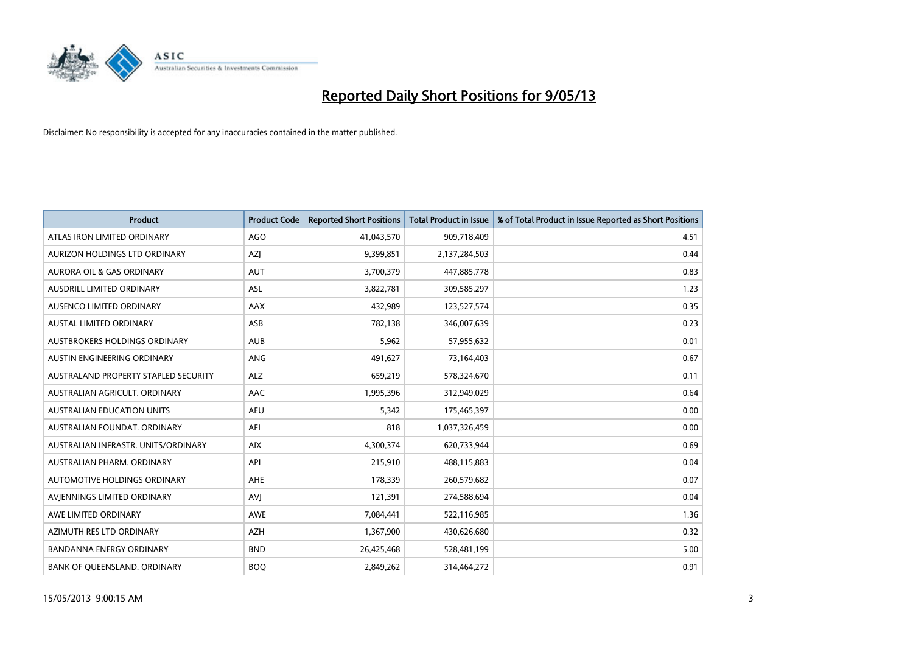

| <b>Product</b>                       | <b>Product Code</b> | <b>Reported Short Positions</b> | <b>Total Product in Issue</b> | % of Total Product in Issue Reported as Short Positions |
|--------------------------------------|---------------------|---------------------------------|-------------------------------|---------------------------------------------------------|
| ATLAS IRON LIMITED ORDINARY          | <b>AGO</b>          | 41,043,570                      | 909,718,409                   | 4.51                                                    |
| AURIZON HOLDINGS LTD ORDINARY        | AZJ                 | 9,399,851                       | 2,137,284,503                 | 0.44                                                    |
| <b>AURORA OIL &amp; GAS ORDINARY</b> | <b>AUT</b>          | 3,700,379                       | 447,885,778                   | 0.83                                                    |
| AUSDRILL LIMITED ORDINARY            | ASL                 | 3,822,781                       | 309,585,297                   | 1.23                                                    |
| AUSENCO LIMITED ORDINARY             | AAX                 | 432,989                         | 123,527,574                   | 0.35                                                    |
| <b>AUSTAL LIMITED ORDINARY</b>       | ASB                 | 782,138                         | 346,007,639                   | 0.23                                                    |
| AUSTBROKERS HOLDINGS ORDINARY        | <b>AUB</b>          | 5,962                           | 57,955,632                    | 0.01                                                    |
| AUSTIN ENGINEERING ORDINARY          | ANG                 | 491,627                         | 73,164,403                    | 0.67                                                    |
| AUSTRALAND PROPERTY STAPLED SECURITY | <b>ALZ</b>          | 659,219                         | 578,324,670                   | 0.11                                                    |
| AUSTRALIAN AGRICULT, ORDINARY        | AAC                 | 1,995,396                       | 312,949,029                   | 0.64                                                    |
| AUSTRALIAN EDUCATION UNITS           | <b>AEU</b>          | 5,342                           | 175,465,397                   | 0.00                                                    |
| AUSTRALIAN FOUNDAT. ORDINARY         | AFI                 | 818                             | 1,037,326,459                 | 0.00                                                    |
| AUSTRALIAN INFRASTR, UNITS/ORDINARY  | <b>AIX</b>          | 4,300,374                       | 620,733,944                   | 0.69                                                    |
| AUSTRALIAN PHARM, ORDINARY           | API                 | 215,910                         | 488,115,883                   | 0.04                                                    |
| <b>AUTOMOTIVE HOLDINGS ORDINARY</b>  | AHE                 | 178,339                         | 260,579,682                   | 0.07                                                    |
| AVIENNINGS LIMITED ORDINARY          | AVI                 | 121,391                         | 274,588,694                   | 0.04                                                    |
| AWE LIMITED ORDINARY                 | AWE                 | 7,084,441                       | 522,116,985                   | 1.36                                                    |
| AZIMUTH RES LTD ORDINARY             | <b>AZH</b>          | 1,367,900                       | 430,626,680                   | 0.32                                                    |
| <b>BANDANNA ENERGY ORDINARY</b>      | <b>BND</b>          | 26,425,468                      | 528,481,199                   | 5.00                                                    |
| BANK OF QUEENSLAND. ORDINARY         | <b>BOQ</b>          | 2,849,262                       | 314,464,272                   | 0.91                                                    |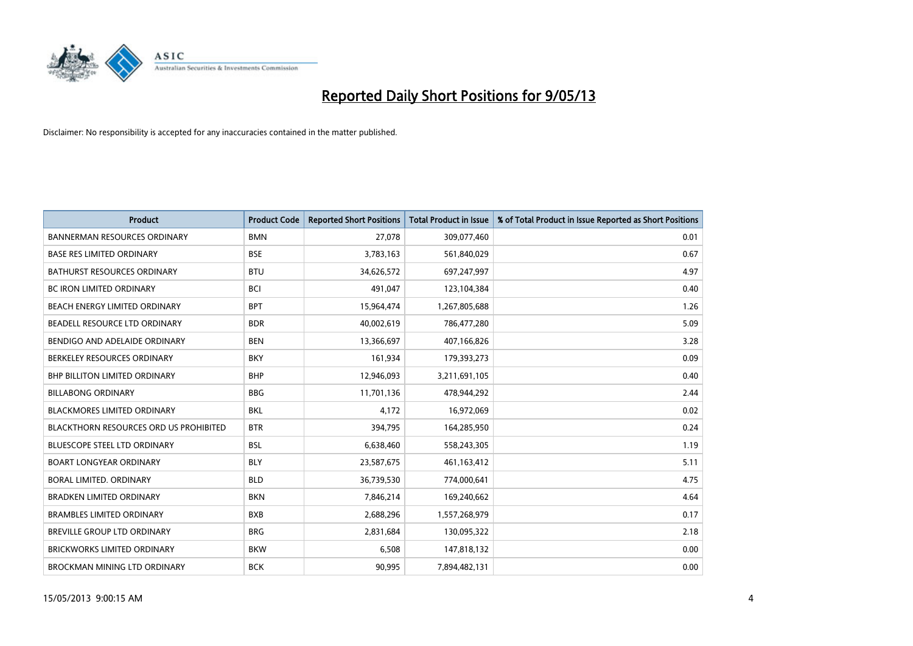

| <b>Product</b>                                | <b>Product Code</b> | <b>Reported Short Positions</b> | <b>Total Product in Issue</b> | % of Total Product in Issue Reported as Short Positions |
|-----------------------------------------------|---------------------|---------------------------------|-------------------------------|---------------------------------------------------------|
| <b>BANNERMAN RESOURCES ORDINARY</b>           | <b>BMN</b>          | 27,078                          | 309,077,460                   | 0.01                                                    |
| BASE RES LIMITED ORDINARY                     | <b>BSE</b>          | 3,783,163                       | 561,840,029                   | 0.67                                                    |
| <b>BATHURST RESOURCES ORDINARY</b>            | <b>BTU</b>          | 34,626,572                      | 697,247,997                   | 4.97                                                    |
| <b>BC IRON LIMITED ORDINARY</b>               | <b>BCI</b>          | 491,047                         | 123,104,384                   | 0.40                                                    |
| BEACH ENERGY LIMITED ORDINARY                 | <b>BPT</b>          | 15,964,474                      | 1,267,805,688                 | 1.26                                                    |
| BEADELL RESOURCE LTD ORDINARY                 | <b>BDR</b>          | 40,002,619                      | 786,477,280                   | 5.09                                                    |
| BENDIGO AND ADELAIDE ORDINARY                 | <b>BEN</b>          | 13,366,697                      | 407,166,826                   | 3.28                                                    |
| BERKELEY RESOURCES ORDINARY                   | <b>BKY</b>          | 161,934                         | 179,393,273                   | 0.09                                                    |
| <b>BHP BILLITON LIMITED ORDINARY</b>          | <b>BHP</b>          | 12,946,093                      | 3,211,691,105                 | 0.40                                                    |
| <b>BILLABONG ORDINARY</b>                     | <b>BBG</b>          | 11,701,136                      | 478,944,292                   | 2.44                                                    |
| BLACKMORES LIMITED ORDINARY                   | <b>BKL</b>          | 4,172                           | 16,972,069                    | 0.02                                                    |
| <b>BLACKTHORN RESOURCES ORD US PROHIBITED</b> | <b>BTR</b>          | 394,795                         | 164,285,950                   | 0.24                                                    |
| <b>BLUESCOPE STEEL LTD ORDINARY</b>           | <b>BSL</b>          | 6,638,460                       | 558,243,305                   | 1.19                                                    |
| <b>BOART LONGYEAR ORDINARY</b>                | <b>BLY</b>          | 23,587,675                      | 461,163,412                   | 5.11                                                    |
| <b>BORAL LIMITED, ORDINARY</b>                | <b>BLD</b>          | 36,739,530                      | 774,000,641                   | 4.75                                                    |
| BRADKEN LIMITED ORDINARY                      | <b>BKN</b>          | 7,846,214                       | 169,240,662                   | 4.64                                                    |
| <b>BRAMBLES LIMITED ORDINARY</b>              | <b>BXB</b>          | 2,688,296                       | 1,557,268,979                 | 0.17                                                    |
| BREVILLE GROUP LTD ORDINARY                   | <b>BRG</b>          | 2,831,684                       | 130,095,322                   | 2.18                                                    |
| <b>BRICKWORKS LIMITED ORDINARY</b>            | <b>BKW</b>          | 6,508                           | 147,818,132                   | 0.00                                                    |
| <b>BROCKMAN MINING LTD ORDINARY</b>           | <b>BCK</b>          | 90,995                          | 7,894,482,131                 | 0.00                                                    |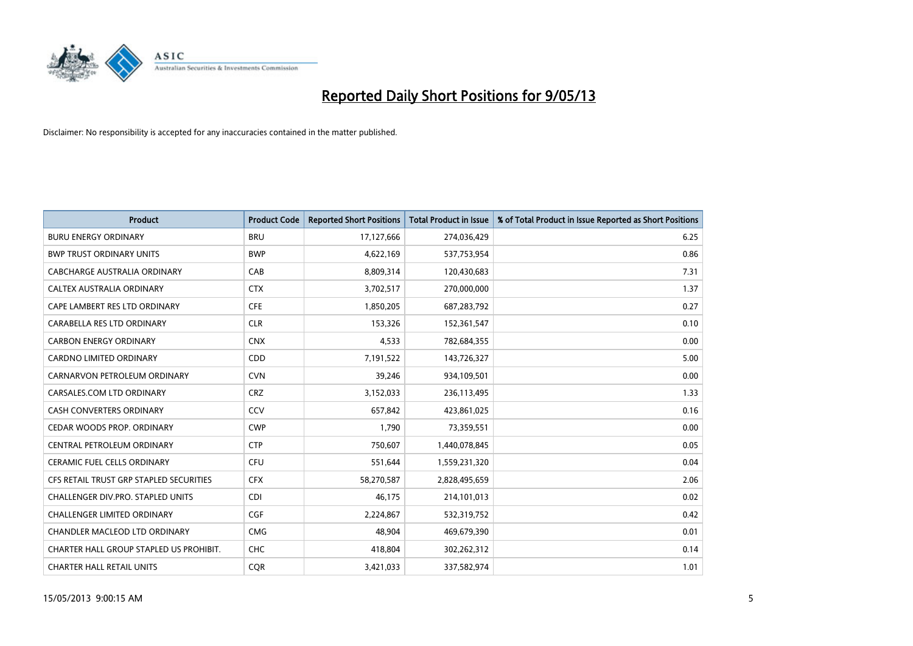

| <b>Product</b>                          | <b>Product Code</b> | <b>Reported Short Positions</b> | <b>Total Product in Issue</b> | % of Total Product in Issue Reported as Short Positions |
|-----------------------------------------|---------------------|---------------------------------|-------------------------------|---------------------------------------------------------|
| <b>BURU ENERGY ORDINARY</b>             | <b>BRU</b>          | 17,127,666                      | 274,036,429                   | 6.25                                                    |
| <b>BWP TRUST ORDINARY UNITS</b>         | <b>BWP</b>          | 4,622,169                       | 537,753,954                   | 0.86                                                    |
| <b>CABCHARGE AUSTRALIA ORDINARY</b>     | CAB                 | 8,809,314                       | 120,430,683                   | 7.31                                                    |
| CALTEX AUSTRALIA ORDINARY               | <b>CTX</b>          | 3,702,517                       | 270,000,000                   | 1.37                                                    |
| CAPE LAMBERT RES LTD ORDINARY           | <b>CFE</b>          | 1,850,205                       | 687,283,792                   | 0.27                                                    |
| CARABELLA RES LTD ORDINARY              | <b>CLR</b>          | 153,326                         | 152,361,547                   | 0.10                                                    |
| <b>CARBON ENERGY ORDINARY</b>           | <b>CNX</b>          | 4,533                           | 782,684,355                   | 0.00                                                    |
| <b>CARDNO LIMITED ORDINARY</b>          | CDD                 | 7,191,522                       | 143,726,327                   | 5.00                                                    |
| CARNARVON PETROLEUM ORDINARY            | <b>CVN</b>          | 39,246                          | 934,109,501                   | 0.00                                                    |
| CARSALES.COM LTD ORDINARY               | <b>CRZ</b>          | 3,152,033                       | 236,113,495                   | 1.33                                                    |
| CASH CONVERTERS ORDINARY                | CCV                 | 657,842                         | 423,861,025                   | 0.16                                                    |
| CEDAR WOODS PROP. ORDINARY              | <b>CWP</b>          | 1,790                           | 73,359,551                    | 0.00                                                    |
| CENTRAL PETROLEUM ORDINARY              | <b>CTP</b>          | 750,607                         | 1,440,078,845                 | 0.05                                                    |
| <b>CERAMIC FUEL CELLS ORDINARY</b>      | <b>CFU</b>          | 551,644                         | 1,559,231,320                 | 0.04                                                    |
| CFS RETAIL TRUST GRP STAPLED SECURITIES | <b>CFX</b>          | 58,270,587                      | 2,828,495,659                 | 2.06                                                    |
| CHALLENGER DIV.PRO. STAPLED UNITS       | <b>CDI</b>          | 46,175                          | 214,101,013                   | 0.02                                                    |
| CHALLENGER LIMITED ORDINARY             | <b>CGF</b>          | 2,224,867                       | 532,319,752                   | 0.42                                                    |
| CHANDLER MACLEOD LTD ORDINARY           | <b>CMG</b>          | 48,904                          | 469,679,390                   | 0.01                                                    |
| CHARTER HALL GROUP STAPLED US PROHIBIT. | <b>CHC</b>          | 418,804                         | 302,262,312                   | 0.14                                                    |
| <b>CHARTER HALL RETAIL UNITS</b>        | <b>COR</b>          | 3,421,033                       | 337,582,974                   | 1.01                                                    |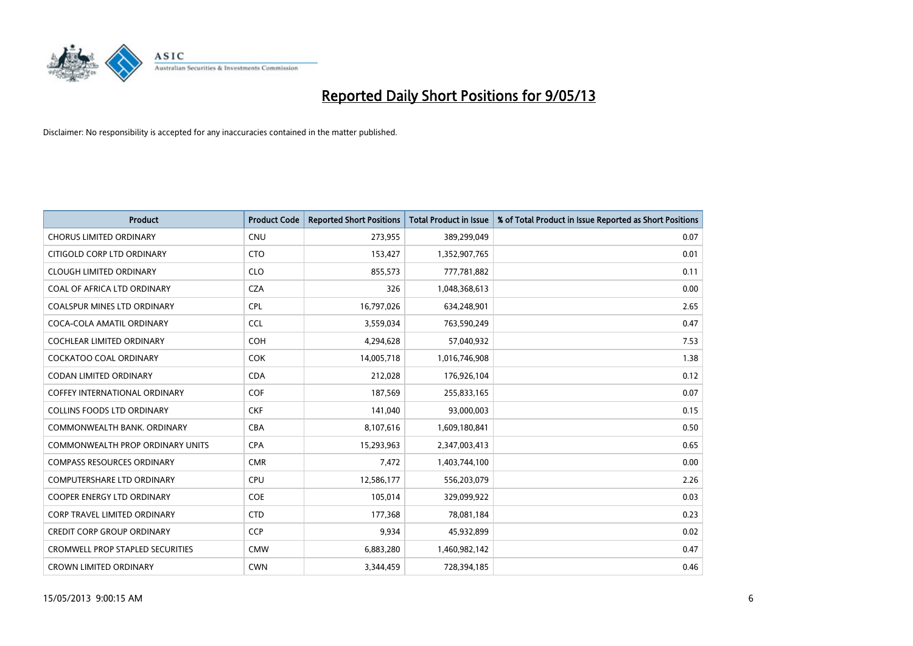

| <b>Product</b>                          | <b>Product Code</b> | <b>Reported Short Positions</b> | <b>Total Product in Issue</b> | % of Total Product in Issue Reported as Short Positions |
|-----------------------------------------|---------------------|---------------------------------|-------------------------------|---------------------------------------------------------|
| <b>CHORUS LIMITED ORDINARY</b>          | <b>CNU</b>          | 273,955                         | 389,299,049                   | 0.07                                                    |
| CITIGOLD CORP LTD ORDINARY              | <b>CTO</b>          | 153,427                         | 1,352,907,765                 | 0.01                                                    |
| <b>CLOUGH LIMITED ORDINARY</b>          | <b>CLO</b>          | 855,573                         | 777,781,882                   | 0.11                                                    |
| COAL OF AFRICA LTD ORDINARY             | <b>CZA</b>          | 326                             | 1,048,368,613                 | 0.00                                                    |
| <b>COALSPUR MINES LTD ORDINARY</b>      | <b>CPL</b>          | 16,797,026                      | 634,248,901                   | 2.65                                                    |
| COCA-COLA AMATIL ORDINARY               | <b>CCL</b>          | 3,559,034                       | 763,590,249                   | 0.47                                                    |
| <b>COCHLEAR LIMITED ORDINARY</b>        | <b>COH</b>          | 4,294,628                       | 57,040,932                    | 7.53                                                    |
| <b>COCKATOO COAL ORDINARY</b>           | <b>COK</b>          | 14,005,718                      | 1,016,746,908                 | 1.38                                                    |
| <b>CODAN LIMITED ORDINARY</b>           | <b>CDA</b>          | 212,028                         | 176,926,104                   | 0.12                                                    |
| <b>COFFEY INTERNATIONAL ORDINARY</b>    | <b>COF</b>          | 187,569                         | 255,833,165                   | 0.07                                                    |
| COLLINS FOODS LTD ORDINARY              | <b>CKF</b>          | 141,040                         | 93,000,003                    | 0.15                                                    |
| COMMONWEALTH BANK, ORDINARY             | <b>CBA</b>          | 8,107,616                       | 1,609,180,841                 | 0.50                                                    |
| <b>COMMONWEALTH PROP ORDINARY UNITS</b> | <b>CPA</b>          | 15,293,963                      | 2,347,003,413                 | 0.65                                                    |
| <b>COMPASS RESOURCES ORDINARY</b>       | <b>CMR</b>          | 7,472                           | 1,403,744,100                 | 0.00                                                    |
| <b>COMPUTERSHARE LTD ORDINARY</b>       | <b>CPU</b>          | 12,586,177                      | 556,203,079                   | 2.26                                                    |
| <b>COOPER ENERGY LTD ORDINARY</b>       | <b>COE</b>          | 105,014                         | 329,099,922                   | 0.03                                                    |
| CORP TRAVEL LIMITED ORDINARY            | <b>CTD</b>          | 177,368                         | 78,081,184                    | 0.23                                                    |
| <b>CREDIT CORP GROUP ORDINARY</b>       | <b>CCP</b>          | 9,934                           | 45,932,899                    | 0.02                                                    |
| <b>CROMWELL PROP STAPLED SECURITIES</b> | <b>CMW</b>          | 6,883,280                       | 1,460,982,142                 | 0.47                                                    |
| <b>CROWN LIMITED ORDINARY</b>           | <b>CWN</b>          | 3,344,459                       | 728,394,185                   | 0.46                                                    |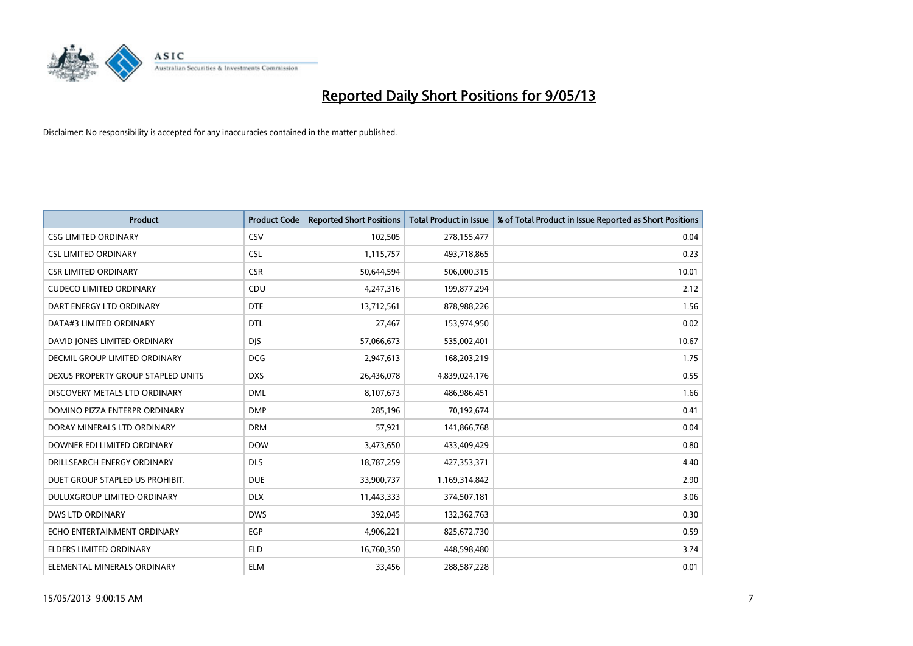

| <b>Product</b>                     | <b>Product Code</b> | <b>Reported Short Positions</b> | <b>Total Product in Issue</b> | % of Total Product in Issue Reported as Short Positions |
|------------------------------------|---------------------|---------------------------------|-------------------------------|---------------------------------------------------------|
| <b>CSG LIMITED ORDINARY</b>        | CSV                 | 102,505                         | 278,155,477                   | 0.04                                                    |
| <b>CSL LIMITED ORDINARY</b>        | <b>CSL</b>          | 1,115,757                       | 493,718,865                   | 0.23                                                    |
| <b>CSR LIMITED ORDINARY</b>        | <b>CSR</b>          | 50,644,594                      | 506,000,315                   | 10.01                                                   |
| <b>CUDECO LIMITED ORDINARY</b>     | CDU                 | 4,247,316                       | 199,877,294                   | 2.12                                                    |
| DART ENERGY LTD ORDINARY           | <b>DTE</b>          | 13,712,561                      | 878,988,226                   | 1.56                                                    |
| DATA#3 LIMITED ORDINARY            | <b>DTL</b>          | 27,467                          | 153,974,950                   | 0.02                                                    |
| DAVID JONES LIMITED ORDINARY       | <b>DIS</b>          | 57,066,673                      | 535,002,401                   | 10.67                                                   |
| DECMIL GROUP LIMITED ORDINARY      | <b>DCG</b>          | 2,947,613                       | 168,203,219                   | 1.75                                                    |
| DEXUS PROPERTY GROUP STAPLED UNITS | <b>DXS</b>          | 26,436,078                      | 4,839,024,176                 | 0.55                                                    |
| DISCOVERY METALS LTD ORDINARY      | <b>DML</b>          | 8,107,673                       | 486,986,451                   | 1.66                                                    |
| DOMINO PIZZA ENTERPR ORDINARY      | <b>DMP</b>          | 285,196                         | 70,192,674                    | 0.41                                                    |
| DORAY MINERALS LTD ORDINARY        | <b>DRM</b>          | 57,921                          | 141,866,768                   | 0.04                                                    |
| DOWNER EDI LIMITED ORDINARY        | <b>DOW</b>          | 3,473,650                       | 433,409,429                   | 0.80                                                    |
| DRILLSEARCH ENERGY ORDINARY        | <b>DLS</b>          | 18,787,259                      | 427,353,371                   | 4.40                                                    |
| DUET GROUP STAPLED US PROHIBIT.    | <b>DUE</b>          | 33,900,737                      | 1,169,314,842                 | 2.90                                                    |
| DULUXGROUP LIMITED ORDINARY        | <b>DLX</b>          | 11,443,333                      | 374,507,181                   | 3.06                                                    |
| <b>DWS LTD ORDINARY</b>            | <b>DWS</b>          | 392,045                         | 132,362,763                   | 0.30                                                    |
| ECHO ENTERTAINMENT ORDINARY        | <b>EGP</b>          | 4,906,221                       | 825,672,730                   | 0.59                                                    |
| <b>ELDERS LIMITED ORDINARY</b>     | <b>ELD</b>          | 16,760,350                      | 448,598,480                   | 3.74                                                    |
| ELEMENTAL MINERALS ORDINARY        | <b>ELM</b>          | 33,456                          | 288,587,228                   | 0.01                                                    |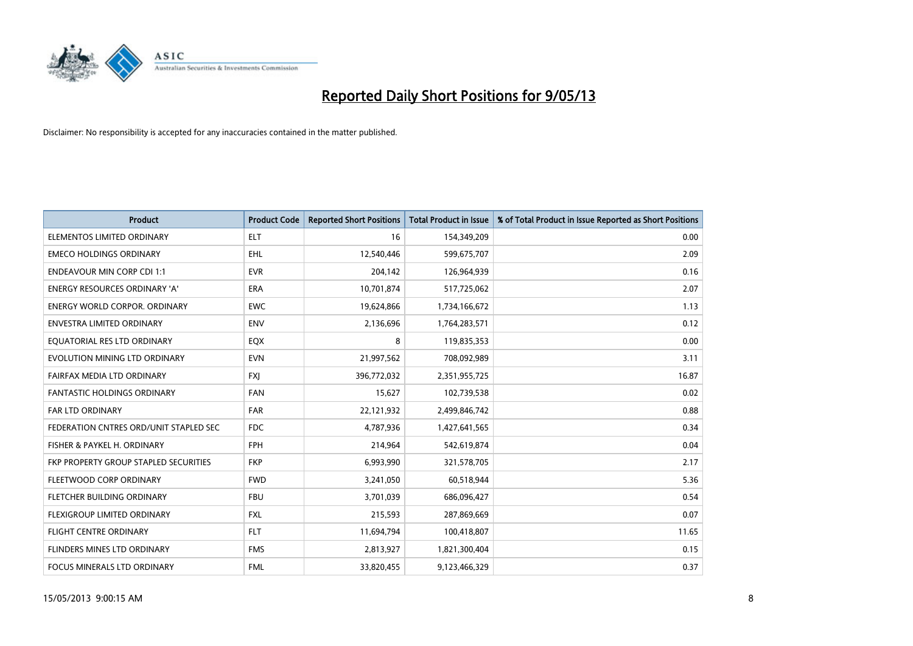

| <b>Product</b>                         | <b>Product Code</b> | <b>Reported Short Positions</b> | <b>Total Product in Issue</b> | % of Total Product in Issue Reported as Short Positions |
|----------------------------------------|---------------------|---------------------------------|-------------------------------|---------------------------------------------------------|
| ELEMENTOS LIMITED ORDINARY             | <b>ELT</b>          | 16                              | 154,349,209                   | 0.00                                                    |
| <b>EMECO HOLDINGS ORDINARY</b>         | <b>EHL</b>          | 12,540,446                      | 599,675,707                   | 2.09                                                    |
| <b>ENDEAVOUR MIN CORP CDI 1:1</b>      | <b>EVR</b>          | 204,142                         | 126,964,939                   | 0.16                                                    |
| ENERGY RESOURCES ORDINARY 'A'          | <b>ERA</b>          | 10,701,874                      | 517,725,062                   | 2.07                                                    |
| <b>ENERGY WORLD CORPOR, ORDINARY</b>   | <b>EWC</b>          | 19,624,866                      | 1,734,166,672                 | 1.13                                                    |
| <b>ENVESTRA LIMITED ORDINARY</b>       | <b>ENV</b>          | 2,136,696                       | 1,764,283,571                 | 0.12                                                    |
| EQUATORIAL RES LTD ORDINARY            | EQX                 | 8                               | 119,835,353                   | 0.00                                                    |
| EVOLUTION MINING LTD ORDINARY          | <b>EVN</b>          | 21,997,562                      | 708,092,989                   | 3.11                                                    |
| FAIRFAX MEDIA LTD ORDINARY             | <b>FXI</b>          | 396,772,032                     | 2,351,955,725                 | 16.87                                                   |
| <b>FANTASTIC HOLDINGS ORDINARY</b>     | <b>FAN</b>          | 15,627                          | 102,739,538                   | 0.02                                                    |
| FAR LTD ORDINARY                       | FAR                 | 22,121,932                      | 2,499,846,742                 | 0.88                                                    |
| FEDERATION CNTRES ORD/UNIT STAPLED SEC | <b>FDC</b>          | 4,787,936                       | 1,427,641,565                 | 0.34                                                    |
| FISHER & PAYKEL H. ORDINARY            | <b>FPH</b>          | 214,964                         | 542,619,874                   | 0.04                                                    |
| FKP PROPERTY GROUP STAPLED SECURITIES  | <b>FKP</b>          | 6,993,990                       | 321,578,705                   | 2.17                                                    |
| FLEETWOOD CORP ORDINARY                | <b>FWD</b>          | 3,241,050                       | 60,518,944                    | 5.36                                                    |
| FLETCHER BUILDING ORDINARY             | <b>FBU</b>          | 3,701,039                       | 686,096,427                   | 0.54                                                    |
| FLEXIGROUP LIMITED ORDINARY            | FXL                 | 215,593                         | 287,869,669                   | 0.07                                                    |
| <b>FLIGHT CENTRE ORDINARY</b>          | <b>FLT</b>          | 11,694,794                      | 100,418,807                   | 11.65                                                   |
| FLINDERS MINES LTD ORDINARY            | <b>FMS</b>          | 2,813,927                       | 1,821,300,404                 | 0.15                                                    |
| FOCUS MINERALS LTD ORDINARY            | <b>FML</b>          | 33,820,455                      | 9,123,466,329                 | 0.37                                                    |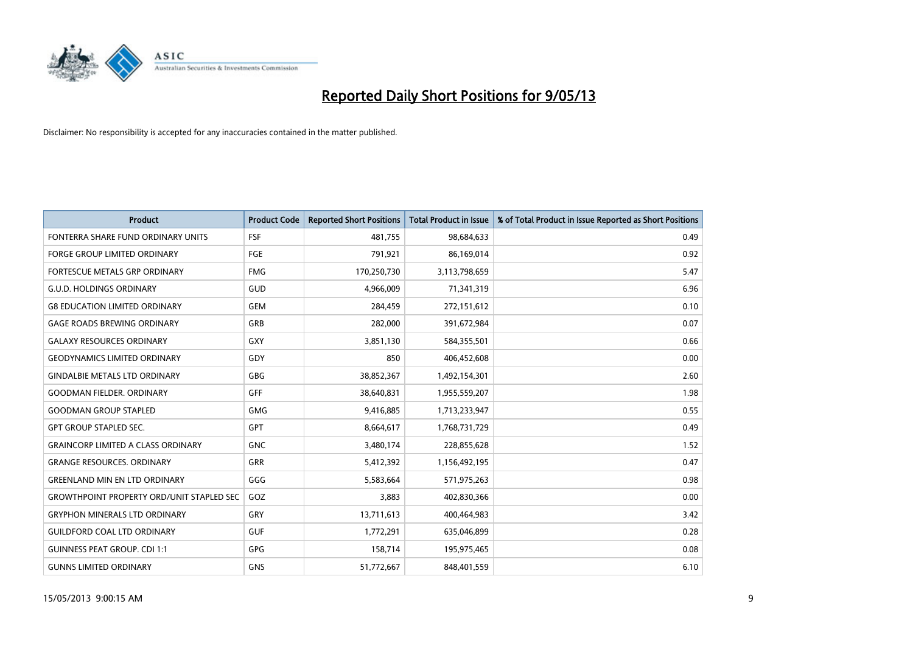

| <b>Product</b>                                   | <b>Product Code</b> | <b>Reported Short Positions</b> | <b>Total Product in Issue</b> | % of Total Product in Issue Reported as Short Positions |
|--------------------------------------------------|---------------------|---------------------------------|-------------------------------|---------------------------------------------------------|
| FONTERRA SHARE FUND ORDINARY UNITS               | <b>FSF</b>          | 481,755                         | 98,684,633                    | 0.49                                                    |
| <b>FORGE GROUP LIMITED ORDINARY</b>              | FGE                 | 791,921                         | 86,169,014                    | 0.92                                                    |
| FORTESCUE METALS GRP ORDINARY                    | <b>FMG</b>          | 170,250,730                     | 3,113,798,659                 | 5.47                                                    |
| <b>G.U.D. HOLDINGS ORDINARY</b>                  | GUD                 | 4,966,009                       | 71,341,319                    | 6.96                                                    |
| <b>G8 EDUCATION LIMITED ORDINARY</b>             | <b>GEM</b>          | 284,459                         | 272,151,612                   | 0.10                                                    |
| <b>GAGE ROADS BREWING ORDINARY</b>               | GRB                 | 282,000                         | 391,672,984                   | 0.07                                                    |
| <b>GALAXY RESOURCES ORDINARY</b>                 | GXY                 | 3,851,130                       | 584,355,501                   | 0.66                                                    |
| <b>GEODYNAMICS LIMITED ORDINARY</b>              | GDY                 | 850                             | 406,452,608                   | 0.00                                                    |
| <b>GINDALBIE METALS LTD ORDINARY</b>             | GBG                 | 38,852,367                      | 1,492,154,301                 | 2.60                                                    |
| <b>GOODMAN FIELDER, ORDINARY</b>                 | GFF                 | 38,640,831                      | 1,955,559,207                 | 1.98                                                    |
| <b>GOODMAN GROUP STAPLED</b>                     | GMG                 | 9,416,885                       | 1,713,233,947                 | 0.55                                                    |
| <b>GPT GROUP STAPLED SEC.</b>                    | <b>GPT</b>          | 8,664,617                       | 1,768,731,729                 | 0.49                                                    |
| <b>GRAINCORP LIMITED A CLASS ORDINARY</b>        | <b>GNC</b>          | 3,480,174                       | 228,855,628                   | 1.52                                                    |
| <b>GRANGE RESOURCES, ORDINARY</b>                | <b>GRR</b>          | 5,412,392                       | 1,156,492,195                 | 0.47                                                    |
| <b>GREENLAND MIN EN LTD ORDINARY</b>             | GGG                 | 5,583,664                       | 571,975,263                   | 0.98                                                    |
| <b>GROWTHPOINT PROPERTY ORD/UNIT STAPLED SEC</b> | GOZ                 | 3,883                           | 402,830,366                   | 0.00                                                    |
| <b>GRYPHON MINERALS LTD ORDINARY</b>             | GRY                 | 13,711,613                      | 400,464,983                   | 3.42                                                    |
| <b>GUILDFORD COAL LTD ORDINARY</b>               | <b>GUF</b>          | 1,772,291                       | 635,046,899                   | 0.28                                                    |
| <b>GUINNESS PEAT GROUP. CDI 1:1</b>              | <b>GPG</b>          | 158,714                         | 195,975,465                   | 0.08                                                    |
| <b>GUNNS LIMITED ORDINARY</b>                    | <b>GNS</b>          | 51,772,667                      | 848,401,559                   | 6.10                                                    |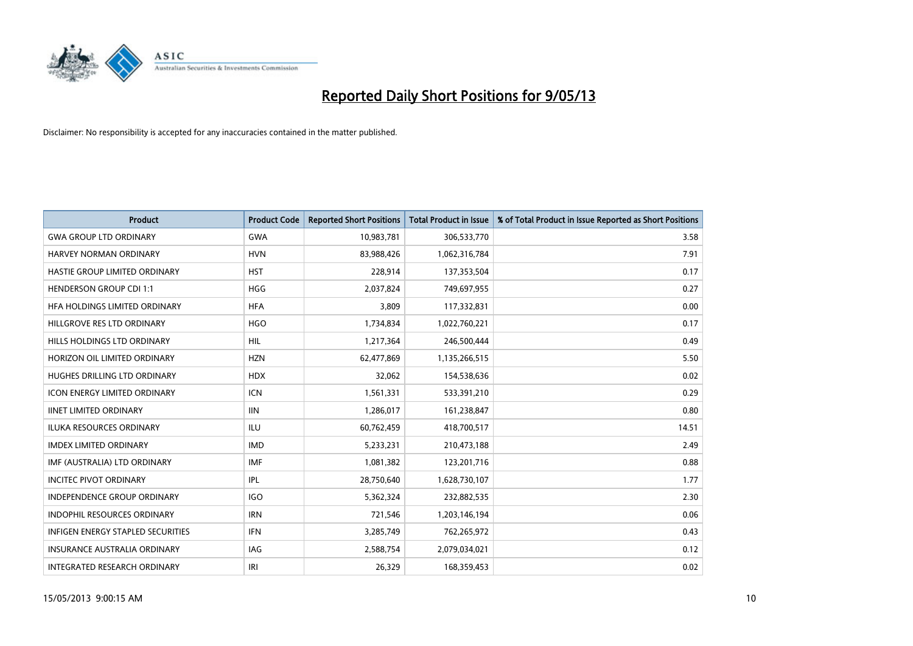

| <b>Product</b>                      | <b>Product Code</b> | <b>Reported Short Positions</b> | <b>Total Product in Issue</b> | % of Total Product in Issue Reported as Short Positions |
|-------------------------------------|---------------------|---------------------------------|-------------------------------|---------------------------------------------------------|
| <b>GWA GROUP LTD ORDINARY</b>       | <b>GWA</b>          | 10,983,781                      | 306,533,770                   | 3.58                                                    |
| HARVEY NORMAN ORDINARY              | <b>HVN</b>          | 83,988,426                      | 1,062,316,784                 | 7.91                                                    |
| HASTIE GROUP LIMITED ORDINARY       | <b>HST</b>          | 228,914                         | 137,353,504                   | 0.17                                                    |
| <b>HENDERSON GROUP CDI 1:1</b>      | <b>HGG</b>          | 2,037,824                       | 749,697,955                   | 0.27                                                    |
| HFA HOLDINGS LIMITED ORDINARY       | <b>HFA</b>          | 3,809                           | 117,332,831                   | 0.00                                                    |
| HILLGROVE RES LTD ORDINARY          | <b>HGO</b>          | 1,734,834                       | 1,022,760,221                 | 0.17                                                    |
| HILLS HOLDINGS LTD ORDINARY         | <b>HIL</b>          | 1,217,364                       | 246,500,444                   | 0.49                                                    |
| HORIZON OIL LIMITED ORDINARY        | <b>HZN</b>          | 62,477,869                      | 1,135,266,515                 | 5.50                                                    |
| HUGHES DRILLING LTD ORDINARY        | <b>HDX</b>          | 32,062                          | 154,538,636                   | 0.02                                                    |
| <b>ICON ENERGY LIMITED ORDINARY</b> | <b>ICN</b>          | 1,561,331                       | 533,391,210                   | 0.29                                                    |
| <b>IINET LIMITED ORDINARY</b>       | <b>IIN</b>          | 1,286,017                       | 161,238,847                   | 0.80                                                    |
| <b>ILUKA RESOURCES ORDINARY</b>     | <b>ILU</b>          | 60,762,459                      | 418,700,517                   | 14.51                                                   |
| IMDEX LIMITED ORDINARY              | <b>IMD</b>          | 5,233,231                       | 210,473,188                   | 2.49                                                    |
| IMF (AUSTRALIA) LTD ORDINARY        | <b>IMF</b>          | 1,081,382                       | 123,201,716                   | 0.88                                                    |
| <b>INCITEC PIVOT ORDINARY</b>       | IPL                 | 28,750,640                      | 1,628,730,107                 | 1.77                                                    |
| INDEPENDENCE GROUP ORDINARY         | <b>IGO</b>          | 5,362,324                       | 232,882,535                   | 2.30                                                    |
| <b>INDOPHIL RESOURCES ORDINARY</b>  | <b>IRN</b>          | 721,546                         | 1,203,146,194                 | 0.06                                                    |
| INFIGEN ENERGY STAPLED SECURITIES   | <b>IFN</b>          | 3,285,749                       | 762,265,972                   | 0.43                                                    |
| <b>INSURANCE AUSTRALIA ORDINARY</b> | <b>IAG</b>          | 2,588,754                       | 2,079,034,021                 | 0.12                                                    |
| INTEGRATED RESEARCH ORDINARY        | IRI                 | 26,329                          | 168,359,453                   | 0.02                                                    |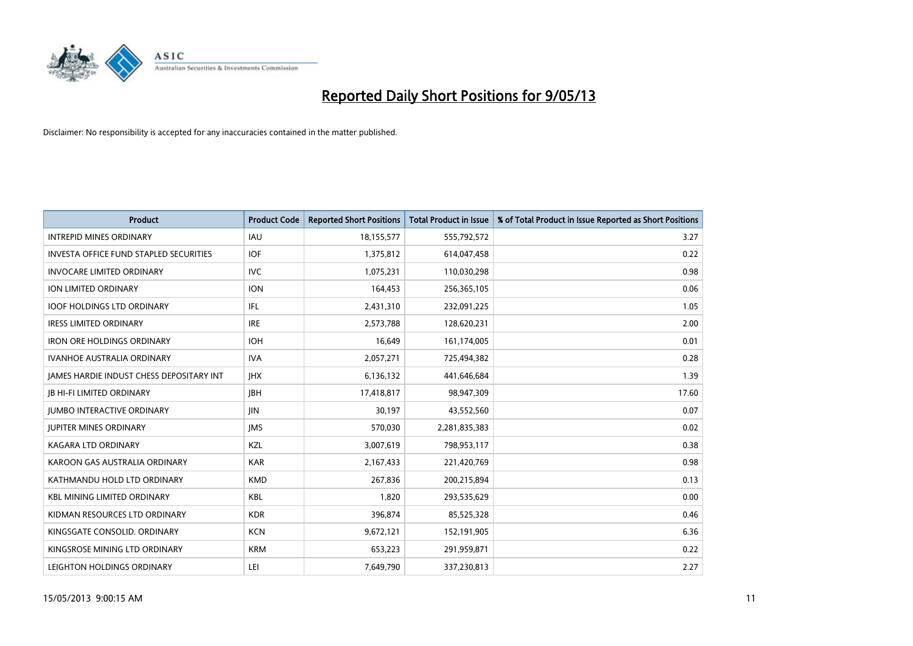

| <b>Product</b>                           | <b>Product Code</b> | <b>Reported Short Positions</b> | <b>Total Product in Issue</b> | % of Total Product in Issue Reported as Short Positions |
|------------------------------------------|---------------------|---------------------------------|-------------------------------|---------------------------------------------------------|
| <b>INTREPID MINES ORDINARY</b>           | <b>IAU</b>          | 18,155,577                      | 555,792,572                   | 3.27                                                    |
| INVESTA OFFICE FUND STAPLED SECURITIES   | <b>IOF</b>          | 1,375,812                       | 614,047,458                   | 0.22                                                    |
| <b>INVOCARE LIMITED ORDINARY</b>         | <b>IVC</b>          | 1,075,231                       | 110,030,298                   | 0.98                                                    |
| ION LIMITED ORDINARY                     | <b>ION</b>          | 164,453                         | 256,365,105                   | 0.06                                                    |
| <b>IOOF HOLDINGS LTD ORDINARY</b>        | IFL.                | 2,431,310                       | 232,091,225                   | 1.05                                                    |
| <b>IRESS LIMITED ORDINARY</b>            | <b>IRE</b>          | 2,573,788                       | 128,620,231                   | 2.00                                                    |
| <b>IRON ORE HOLDINGS ORDINARY</b>        | <b>IOH</b>          | 16,649                          | 161,174,005                   | 0.01                                                    |
| <b>IVANHOE AUSTRALIA ORDINARY</b>        | <b>IVA</b>          | 2,057,271                       | 725,494,382                   | 0.28                                                    |
| JAMES HARDIE INDUST CHESS DEPOSITARY INT | <b>IHX</b>          | 6,136,132                       | 441,646,684                   | 1.39                                                    |
| <b>IB HI-FI LIMITED ORDINARY</b>         | <b>IBH</b>          | 17,418,817                      | 98,947,309                    | 17.60                                                   |
| <b>JUMBO INTERACTIVE ORDINARY</b>        | JIN.                | 30,197                          | 43,552,560                    | 0.07                                                    |
| <b>JUPITER MINES ORDINARY</b>            | <b>IMS</b>          | 570,030                         | 2,281,835,383                 | 0.02                                                    |
| <b>KAGARA LTD ORDINARY</b>               | KZL                 | 3,007,619                       | 798,953,117                   | 0.38                                                    |
| KAROON GAS AUSTRALIA ORDINARY            | <b>KAR</b>          | 2,167,433                       | 221,420,769                   | 0.98                                                    |
| KATHMANDU HOLD LTD ORDINARY              | <b>KMD</b>          | 267,836                         | 200,215,894                   | 0.13                                                    |
| <b>KBL MINING LIMITED ORDINARY</b>       | <b>KBL</b>          | 1,820                           | 293,535,629                   | 0.00                                                    |
| KIDMAN RESOURCES LTD ORDINARY            | <b>KDR</b>          | 396,874                         | 85,525,328                    | 0.46                                                    |
| KINGSGATE CONSOLID. ORDINARY             | <b>KCN</b>          | 9,672,121                       | 152,191,905                   | 6.36                                                    |
| KINGSROSE MINING LTD ORDINARY            | <b>KRM</b>          | 653,223                         | 291,959,871                   | 0.22                                                    |
| LEIGHTON HOLDINGS ORDINARY               | LEI                 | 7,649,790                       | 337,230,813                   | 2.27                                                    |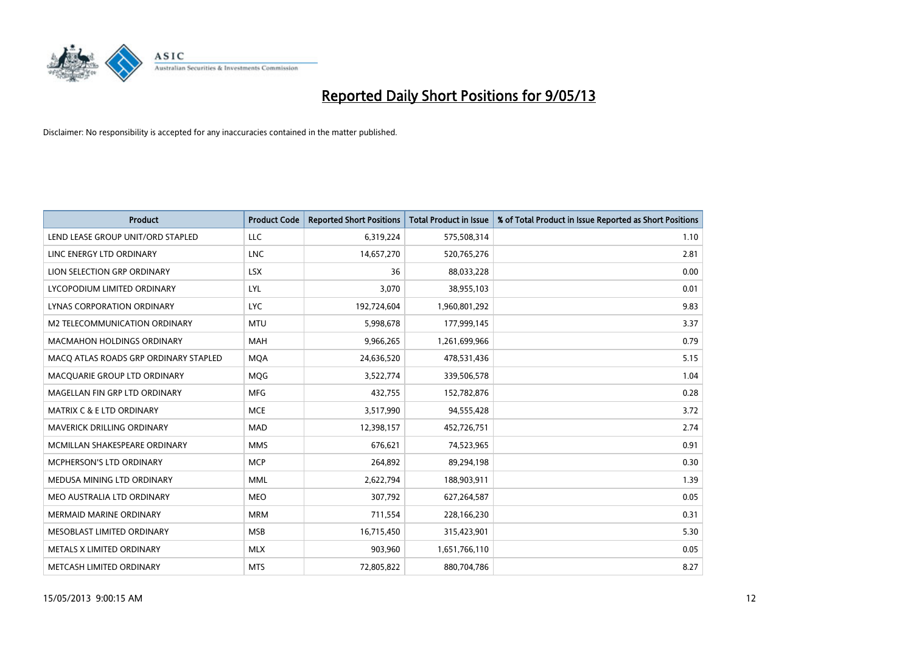

| <b>Product</b>                        | <b>Product Code</b> | <b>Reported Short Positions</b> | <b>Total Product in Issue</b> | % of Total Product in Issue Reported as Short Positions |
|---------------------------------------|---------------------|---------------------------------|-------------------------------|---------------------------------------------------------|
| LEND LEASE GROUP UNIT/ORD STAPLED     | LLC                 | 6,319,224                       | 575,508,314                   | 1.10                                                    |
| LINC ENERGY LTD ORDINARY              | <b>LNC</b>          | 14,657,270                      | 520,765,276                   | 2.81                                                    |
| LION SELECTION GRP ORDINARY           | <b>LSX</b>          | 36                              | 88,033,228                    | 0.00                                                    |
| LYCOPODIUM LIMITED ORDINARY           | LYL                 | 3,070                           | 38,955,103                    | 0.01                                                    |
| <b>LYNAS CORPORATION ORDINARY</b>     | <b>LYC</b>          | 192,724,604                     | 1,960,801,292                 | 9.83                                                    |
| <b>M2 TELECOMMUNICATION ORDINARY</b>  | <b>MTU</b>          | 5,998,678                       | 177,999,145                   | 3.37                                                    |
| <b>MACMAHON HOLDINGS ORDINARY</b>     | <b>MAH</b>          | 9,966,265                       | 1,261,699,966                 | 0.79                                                    |
| MACO ATLAS ROADS GRP ORDINARY STAPLED | <b>MQA</b>          | 24,636,520                      | 478,531,436                   | 5.15                                                    |
| MACQUARIE GROUP LTD ORDINARY          | <b>MQG</b>          | 3,522,774                       | 339,506,578                   | 1.04                                                    |
| MAGELLAN FIN GRP LTD ORDINARY         | <b>MFG</b>          | 432,755                         | 152,782,876                   | 0.28                                                    |
| <b>MATRIX C &amp; E LTD ORDINARY</b>  | <b>MCE</b>          | 3,517,990                       | 94,555,428                    | 3.72                                                    |
| <b>MAVERICK DRILLING ORDINARY</b>     | <b>MAD</b>          | 12,398,157                      | 452,726,751                   | 2.74                                                    |
| MCMILLAN SHAKESPEARE ORDINARY         | <b>MMS</b>          | 676.621                         | 74,523,965                    | 0.91                                                    |
| <b>MCPHERSON'S LTD ORDINARY</b>       | <b>MCP</b>          | 264,892                         | 89,294,198                    | 0.30                                                    |
| MEDUSA MINING LTD ORDINARY            | <b>MML</b>          | 2,622,794                       | 188,903,911                   | 1.39                                                    |
| MEO AUSTRALIA LTD ORDINARY            | <b>MEO</b>          | 307,792                         | 627,264,587                   | 0.05                                                    |
| <b>MERMAID MARINE ORDINARY</b>        | <b>MRM</b>          | 711,554                         | 228,166,230                   | 0.31                                                    |
| MESOBLAST LIMITED ORDINARY            | <b>MSB</b>          | 16,715,450                      | 315,423,901                   | 5.30                                                    |
| METALS X LIMITED ORDINARY             | <b>MLX</b>          | 903,960                         | 1,651,766,110                 | 0.05                                                    |
| METCASH LIMITED ORDINARY              | <b>MTS</b>          | 72.805.822                      | 880,704,786                   | 8.27                                                    |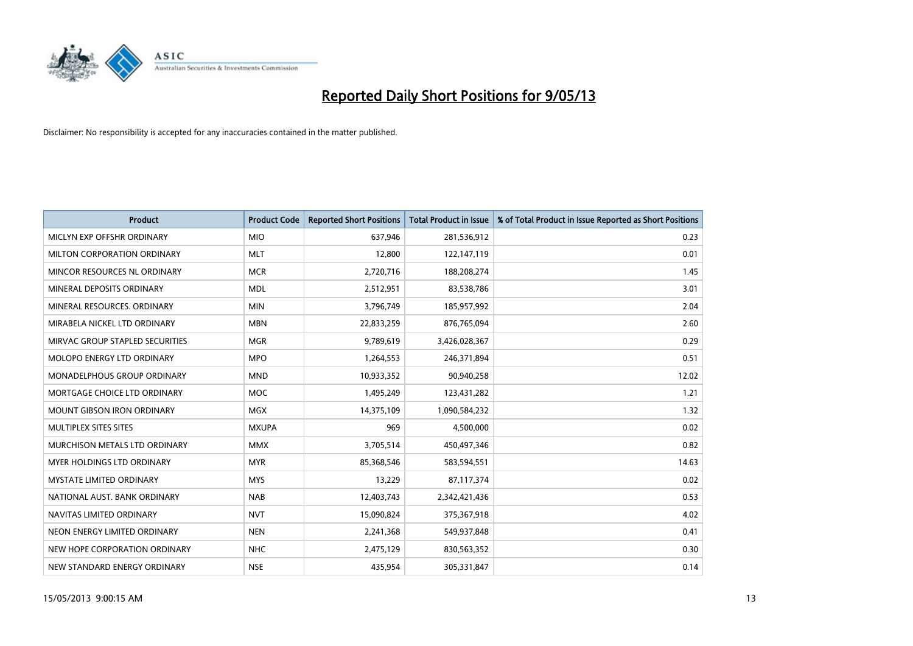

| <b>Product</b>                    | <b>Product Code</b> | <b>Reported Short Positions</b> | <b>Total Product in Issue</b> | % of Total Product in Issue Reported as Short Positions |
|-----------------------------------|---------------------|---------------------------------|-------------------------------|---------------------------------------------------------|
| MICLYN EXP OFFSHR ORDINARY        | <b>MIO</b>          | 637,946                         | 281,536,912                   | 0.23                                                    |
| MILTON CORPORATION ORDINARY       | <b>MLT</b>          | 12,800                          | 122,147,119                   | 0.01                                                    |
| MINCOR RESOURCES NL ORDINARY      | <b>MCR</b>          | 2,720,716                       | 188,208,274                   | 1.45                                                    |
| MINERAL DEPOSITS ORDINARY         | <b>MDL</b>          | 2,512,951                       | 83,538,786                    | 3.01                                                    |
| MINERAL RESOURCES, ORDINARY       | <b>MIN</b>          | 3,796,749                       | 185,957,992                   | 2.04                                                    |
| MIRABELA NICKEL LTD ORDINARY      | <b>MBN</b>          | 22,833,259                      | 876,765,094                   | 2.60                                                    |
| MIRVAC GROUP STAPLED SECURITIES   | <b>MGR</b>          | 9,789,619                       | 3,426,028,367                 | 0.29                                                    |
| MOLOPO ENERGY LTD ORDINARY        | <b>MPO</b>          | 1,264,553                       | 246,371,894                   | 0.51                                                    |
| MONADELPHOUS GROUP ORDINARY       | <b>MND</b>          | 10,933,352                      | 90,940,258                    | 12.02                                                   |
| MORTGAGE CHOICE LTD ORDINARY      | <b>MOC</b>          | 1,495,249                       | 123,431,282                   | 1.21                                                    |
| <b>MOUNT GIBSON IRON ORDINARY</b> | <b>MGX</b>          | 14,375,109                      | 1,090,584,232                 | 1.32                                                    |
| MULTIPLEX SITES SITES             | <b>MXUPA</b>        | 969                             | 4,500,000                     | 0.02                                                    |
| MURCHISON METALS LTD ORDINARY     | <b>MMX</b>          | 3,705,514                       | 450,497,346                   | 0.82                                                    |
| MYER HOLDINGS LTD ORDINARY        | <b>MYR</b>          | 85,368,546                      | 583,594,551                   | 14.63                                                   |
| <b>MYSTATE LIMITED ORDINARY</b>   | <b>MYS</b>          | 13,229                          | 87,117,374                    | 0.02                                                    |
| NATIONAL AUST. BANK ORDINARY      | <b>NAB</b>          | 12,403,743                      | 2,342,421,436                 | 0.53                                                    |
| NAVITAS LIMITED ORDINARY          | <b>NVT</b>          | 15,090,824                      | 375,367,918                   | 4.02                                                    |
| NEON ENERGY LIMITED ORDINARY      | <b>NEN</b>          | 2,241,368                       | 549,937,848                   | 0.41                                                    |
| NEW HOPE CORPORATION ORDINARY     | <b>NHC</b>          | 2,475,129                       | 830,563,352                   | 0.30                                                    |
| NEW STANDARD ENERGY ORDINARY      | <b>NSE</b>          | 435,954                         | 305,331,847                   | 0.14                                                    |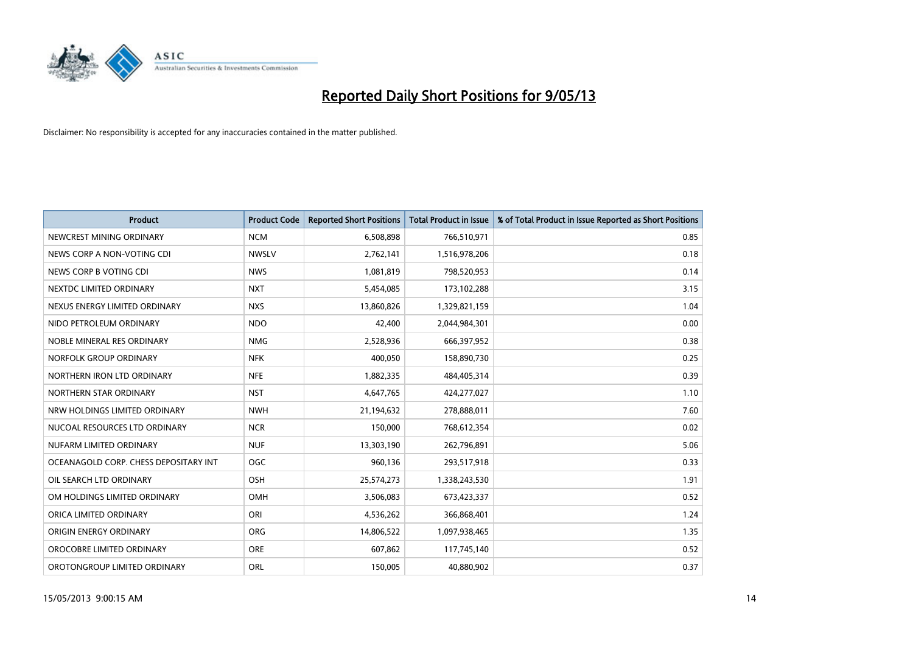

| <b>Product</b>                        | <b>Product Code</b> | <b>Reported Short Positions</b> | <b>Total Product in Issue</b> | % of Total Product in Issue Reported as Short Positions |
|---------------------------------------|---------------------|---------------------------------|-------------------------------|---------------------------------------------------------|
| NEWCREST MINING ORDINARY              | <b>NCM</b>          | 6,508,898                       | 766,510,971                   | 0.85                                                    |
| NEWS CORP A NON-VOTING CDI            | <b>NWSLV</b>        | 2,762,141                       | 1,516,978,206                 | 0.18                                                    |
| NEWS CORP B VOTING CDI                | <b>NWS</b>          | 1,081,819                       | 798,520,953                   | 0.14                                                    |
| NEXTDC LIMITED ORDINARY               | <b>NXT</b>          | 5,454,085                       | 173,102,288                   | 3.15                                                    |
| NEXUS ENERGY LIMITED ORDINARY         | <b>NXS</b>          | 13,860,826                      | 1,329,821,159                 | 1.04                                                    |
| NIDO PETROLEUM ORDINARY               | <b>NDO</b>          | 42,400                          | 2,044,984,301                 | 0.00                                                    |
| NOBLE MINERAL RES ORDINARY            | <b>NMG</b>          | 2,528,936                       | 666,397,952                   | 0.38                                                    |
| NORFOLK GROUP ORDINARY                | <b>NFK</b>          | 400,050                         | 158,890,730                   | 0.25                                                    |
| NORTHERN IRON LTD ORDINARY            | <b>NFE</b>          | 1,882,335                       | 484,405,314                   | 0.39                                                    |
| NORTHERN STAR ORDINARY                | <b>NST</b>          | 4,647,765                       | 424,277,027                   | 1.10                                                    |
| NRW HOLDINGS LIMITED ORDINARY         | <b>NWH</b>          | 21,194,632                      | 278,888,011                   | 7.60                                                    |
| NUCOAL RESOURCES LTD ORDINARY         | <b>NCR</b>          | 150,000                         | 768,612,354                   | 0.02                                                    |
| NUFARM LIMITED ORDINARY               | <b>NUF</b>          | 13,303,190                      | 262,796,891                   | 5.06                                                    |
| OCEANAGOLD CORP. CHESS DEPOSITARY INT | <b>OGC</b>          | 960,136                         | 293,517,918                   | 0.33                                                    |
| OIL SEARCH LTD ORDINARY               | OSH                 | 25,574,273                      | 1,338,243,530                 | 1.91                                                    |
| OM HOLDINGS LIMITED ORDINARY          | OMH                 | 3,506,083                       | 673,423,337                   | 0.52                                                    |
| ORICA LIMITED ORDINARY                | ORI                 | 4,536,262                       | 366,868,401                   | 1.24                                                    |
| ORIGIN ENERGY ORDINARY                | <b>ORG</b>          | 14,806,522                      | 1,097,938,465                 | 1.35                                                    |
| OROCOBRE LIMITED ORDINARY             | <b>ORE</b>          | 607,862                         | 117,745,140                   | 0.52                                                    |
| OROTONGROUP LIMITED ORDINARY          | <b>ORL</b>          | 150,005                         | 40,880,902                    | 0.37                                                    |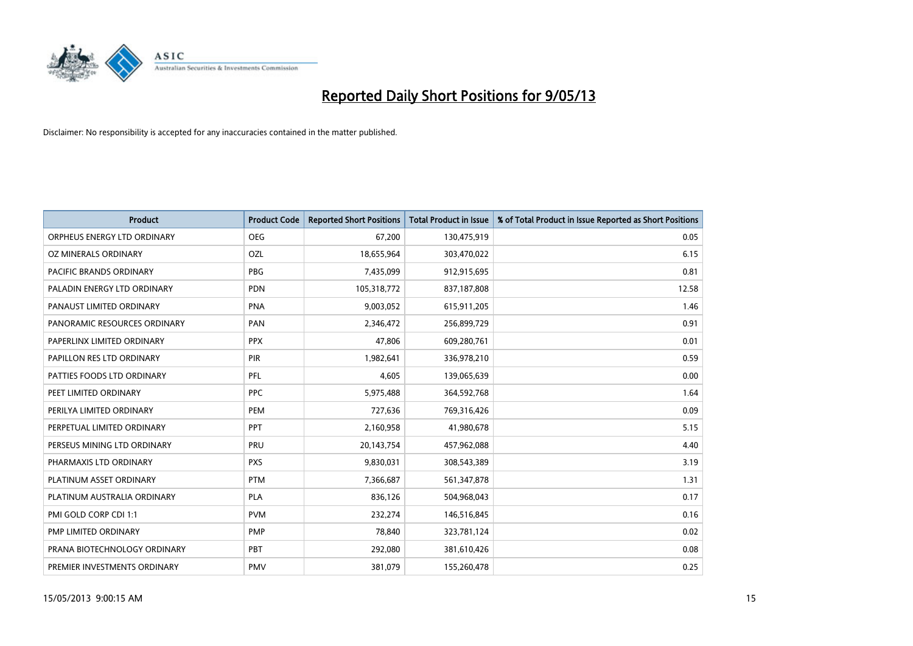

| <b>Product</b>               | <b>Product Code</b> | <b>Reported Short Positions</b> | <b>Total Product in Issue</b> | % of Total Product in Issue Reported as Short Positions |
|------------------------------|---------------------|---------------------------------|-------------------------------|---------------------------------------------------------|
| ORPHEUS ENERGY LTD ORDINARY  | <b>OEG</b>          | 67,200                          | 130,475,919                   | 0.05                                                    |
| OZ MINERALS ORDINARY         | OZL                 | 18,655,964                      | 303,470,022                   | 6.15                                                    |
| PACIFIC BRANDS ORDINARY      | <b>PBG</b>          | 7,435,099                       | 912,915,695                   | 0.81                                                    |
| PALADIN ENERGY LTD ORDINARY  | <b>PDN</b>          | 105,318,772                     | 837,187,808                   | 12.58                                                   |
| PANAUST LIMITED ORDINARY     | <b>PNA</b>          | 9,003,052                       | 615,911,205                   | 1.46                                                    |
| PANORAMIC RESOURCES ORDINARY | PAN                 | 2,346,472                       | 256,899,729                   | 0.91                                                    |
| PAPERLINX LIMITED ORDINARY   | <b>PPX</b>          | 47,806                          | 609,280,761                   | 0.01                                                    |
| PAPILLON RES LTD ORDINARY    | PIR                 | 1,982,641                       | 336,978,210                   | 0.59                                                    |
| PATTIES FOODS LTD ORDINARY   | PFL                 | 4,605                           | 139,065,639                   | 0.00                                                    |
| PEET LIMITED ORDINARY        | <b>PPC</b>          | 5,975,488                       | 364,592,768                   | 1.64                                                    |
| PERILYA LIMITED ORDINARY     | PEM                 | 727,636                         | 769,316,426                   | 0.09                                                    |
| PERPETUAL LIMITED ORDINARY   | <b>PPT</b>          | 2,160,958                       | 41,980,678                    | 5.15                                                    |
| PERSEUS MINING LTD ORDINARY  | PRU                 | 20,143,754                      | 457,962,088                   | 4.40                                                    |
| PHARMAXIS LTD ORDINARY       | <b>PXS</b>          | 9,830,031                       | 308,543,389                   | 3.19                                                    |
| PLATINUM ASSET ORDINARY      | <b>PTM</b>          | 7,366,687                       | 561,347,878                   | 1.31                                                    |
| PLATINUM AUSTRALIA ORDINARY  | PLA                 | 836,126                         | 504,968,043                   | 0.17                                                    |
| PMI GOLD CORP CDI 1:1        | <b>PVM</b>          | 232,274                         | 146,516,845                   | 0.16                                                    |
| PMP LIMITED ORDINARY         | <b>PMP</b>          | 78,840                          | 323,781,124                   | 0.02                                                    |
| PRANA BIOTECHNOLOGY ORDINARY | PBT                 | 292,080                         | 381,610,426                   | 0.08                                                    |
| PREMIER INVESTMENTS ORDINARY | <b>PMV</b>          | 381,079                         | 155,260,478                   | 0.25                                                    |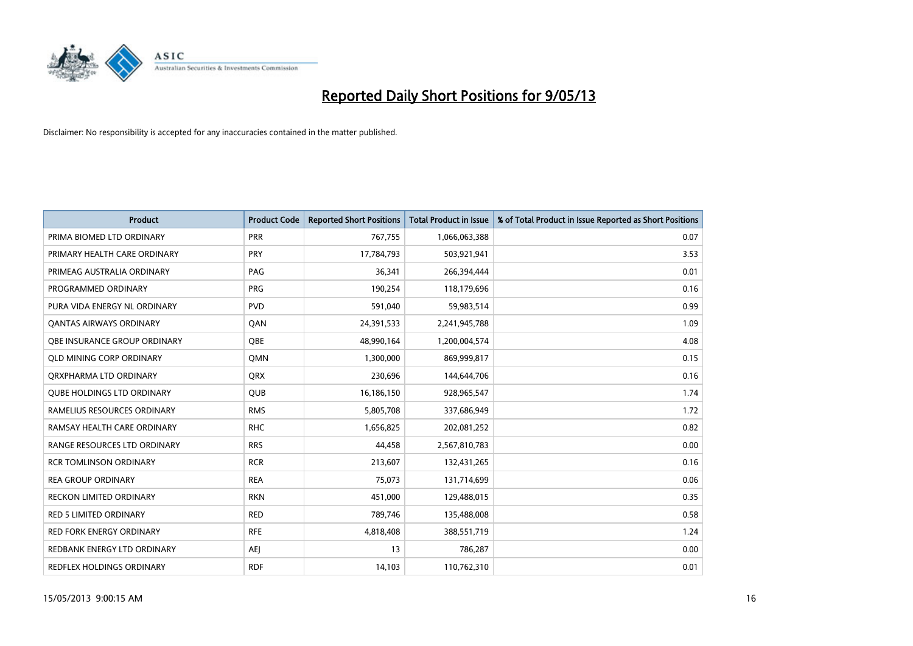

| <b>Product</b>                    | <b>Product Code</b> | <b>Reported Short Positions</b> | <b>Total Product in Issue</b> | % of Total Product in Issue Reported as Short Positions |
|-----------------------------------|---------------------|---------------------------------|-------------------------------|---------------------------------------------------------|
| PRIMA BIOMED LTD ORDINARY         | <b>PRR</b>          | 767,755                         | 1,066,063,388                 | 0.07                                                    |
| PRIMARY HEALTH CARE ORDINARY      | <b>PRY</b>          | 17,784,793                      | 503,921,941                   | 3.53                                                    |
| PRIMEAG AUSTRALIA ORDINARY        | PAG                 | 36,341                          | 266,394,444                   | 0.01                                                    |
| PROGRAMMED ORDINARY               | <b>PRG</b>          | 190,254                         | 118,179,696                   | 0.16                                                    |
| PURA VIDA ENERGY NL ORDINARY      | <b>PVD</b>          | 591,040                         | 59,983,514                    | 0.99                                                    |
| <b>QANTAS AIRWAYS ORDINARY</b>    | QAN                 | 24,391,533                      | 2,241,945,788                 | 1.09                                                    |
| OBE INSURANCE GROUP ORDINARY      | OBE                 | 48,990,164                      | 1,200,004,574                 | 4.08                                                    |
| <b>QLD MINING CORP ORDINARY</b>   | <b>OMN</b>          | 1,300,000                       | 869,999,817                   | 0.15                                                    |
| ORXPHARMA LTD ORDINARY            | <b>QRX</b>          | 230,696                         | 144,644,706                   | 0.16                                                    |
| <b>OUBE HOLDINGS LTD ORDINARY</b> | <b>QUB</b>          | 16,186,150                      | 928,965,547                   | 1.74                                                    |
| RAMELIUS RESOURCES ORDINARY       | <b>RMS</b>          | 5,805,708                       | 337,686,949                   | 1.72                                                    |
| RAMSAY HEALTH CARE ORDINARY       | <b>RHC</b>          | 1,656,825                       | 202,081,252                   | 0.82                                                    |
| RANGE RESOURCES LTD ORDINARY      | <b>RRS</b>          | 44.458                          | 2,567,810,783                 | 0.00                                                    |
| <b>RCR TOMLINSON ORDINARY</b>     | <b>RCR</b>          | 213,607                         | 132,431,265                   | 0.16                                                    |
| <b>REA GROUP ORDINARY</b>         | <b>REA</b>          | 75,073                          | 131,714,699                   | 0.06                                                    |
| <b>RECKON LIMITED ORDINARY</b>    | <b>RKN</b>          | 451,000                         | 129,488,015                   | 0.35                                                    |
| <b>RED 5 LIMITED ORDINARY</b>     | <b>RED</b>          | 789,746                         | 135,488,008                   | 0.58                                                    |
| RED FORK ENERGY ORDINARY          | <b>RFE</b>          | 4,818,408                       | 388,551,719                   | 1.24                                                    |
| REDBANK ENERGY LTD ORDINARY       | AEJ                 | 13                              | 786,287                       | 0.00                                                    |
| REDFLEX HOLDINGS ORDINARY         | <b>RDF</b>          | 14,103                          | 110,762,310                   | 0.01                                                    |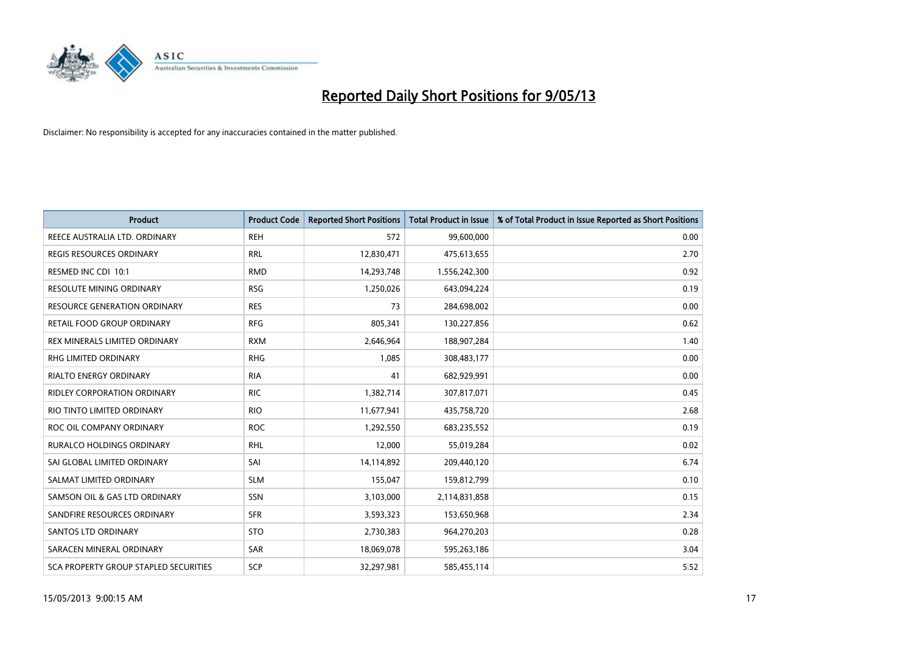

| <b>Product</b>                               | <b>Product Code</b> | <b>Reported Short Positions</b> | <b>Total Product in Issue</b> | % of Total Product in Issue Reported as Short Positions |
|----------------------------------------------|---------------------|---------------------------------|-------------------------------|---------------------------------------------------------|
| REECE AUSTRALIA LTD. ORDINARY                | <b>REH</b>          | 572                             | 99,600,000                    | 0.00                                                    |
| <b>REGIS RESOURCES ORDINARY</b>              | <b>RRL</b>          | 12,830,471                      | 475,613,655                   | 2.70                                                    |
| RESMED INC CDI 10:1                          | <b>RMD</b>          | 14,293,748                      | 1,556,242,300                 | 0.92                                                    |
| RESOLUTE MINING ORDINARY                     | <b>RSG</b>          | 1,250,026                       | 643,094,224                   | 0.19                                                    |
| <b>RESOURCE GENERATION ORDINARY</b>          | <b>RES</b>          | 73                              | 284,698,002                   | 0.00                                                    |
| RETAIL FOOD GROUP ORDINARY                   | <b>RFG</b>          | 805,341                         | 130,227,856                   | 0.62                                                    |
| REX MINERALS LIMITED ORDINARY                | <b>RXM</b>          | 2,646,964                       | 188,907,284                   | 1.40                                                    |
| RHG LIMITED ORDINARY                         | <b>RHG</b>          | 1,085                           | 308,483,177                   | 0.00                                                    |
| <b>RIALTO ENERGY ORDINARY</b>                | <b>RIA</b>          | 41                              | 682,929,991                   | 0.00                                                    |
| <b>RIDLEY CORPORATION ORDINARY</b>           | <b>RIC</b>          | 1,382,714                       | 307,817,071                   | 0.45                                                    |
| RIO TINTO LIMITED ORDINARY                   | <b>RIO</b>          | 11,677,941                      | 435,758,720                   | 2.68                                                    |
| ROC OIL COMPANY ORDINARY                     | <b>ROC</b>          | 1,292,550                       | 683,235,552                   | 0.19                                                    |
| <b>RURALCO HOLDINGS ORDINARY</b>             | <b>RHL</b>          | 12,000                          | 55,019,284                    | 0.02                                                    |
| SAI GLOBAL LIMITED ORDINARY                  | SAI                 | 14,114,892                      | 209,440,120                   | 6.74                                                    |
| SALMAT LIMITED ORDINARY                      | <b>SLM</b>          | 155,047                         | 159,812,799                   | 0.10                                                    |
| SAMSON OIL & GAS LTD ORDINARY                | SSN                 | 3,103,000                       | 2,114,831,858                 | 0.15                                                    |
| SANDFIRE RESOURCES ORDINARY                  | <b>SFR</b>          | 3,593,323                       | 153,650,968                   | 2.34                                                    |
| SANTOS LTD ORDINARY                          | <b>STO</b>          | 2,730,383                       | 964,270,203                   | 0.28                                                    |
| SARACEN MINERAL ORDINARY                     | SAR                 | 18,069,078                      | 595,263,186                   | 3.04                                                    |
| <b>SCA PROPERTY GROUP STAPLED SECURITIES</b> | SCP                 | 32,297,981                      | 585,455,114                   | 5.52                                                    |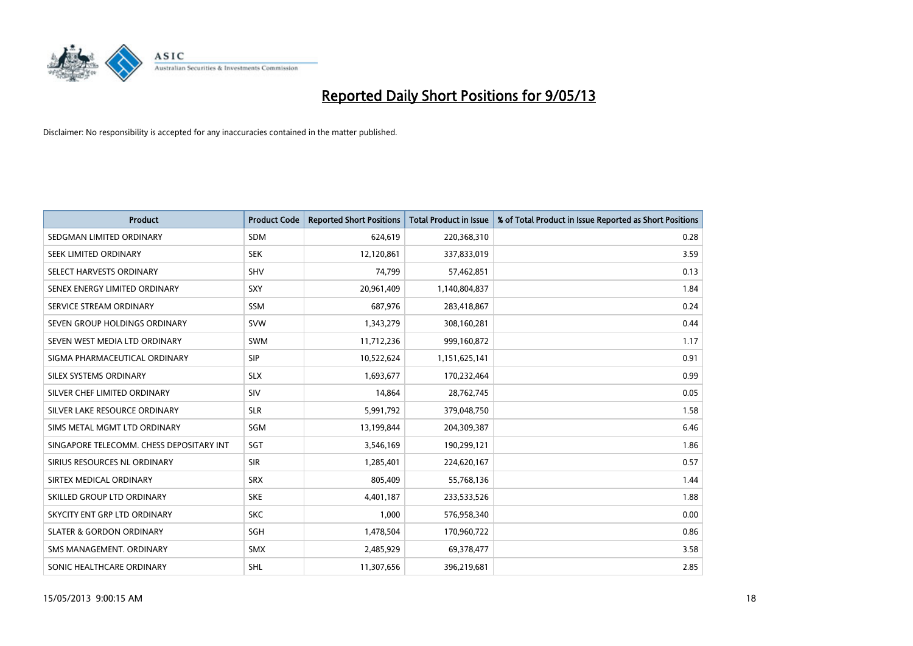

| <b>Product</b>                           | <b>Product Code</b> | <b>Reported Short Positions</b> | <b>Total Product in Issue</b> | % of Total Product in Issue Reported as Short Positions |
|------------------------------------------|---------------------|---------------------------------|-------------------------------|---------------------------------------------------------|
| SEDGMAN LIMITED ORDINARY                 | <b>SDM</b>          | 624,619                         | 220,368,310                   | 0.28                                                    |
| SEEK LIMITED ORDINARY                    | <b>SEK</b>          | 12,120,861                      | 337,833,019                   | 3.59                                                    |
| SELECT HARVESTS ORDINARY                 | <b>SHV</b>          | 74,799                          | 57,462,851                    | 0.13                                                    |
| SENEX ENERGY LIMITED ORDINARY            | <b>SXY</b>          | 20,961,409                      | 1,140,804,837                 | 1.84                                                    |
| SERVICE STREAM ORDINARY                  | SSM                 | 687,976                         | 283,418,867                   | 0.24                                                    |
| SEVEN GROUP HOLDINGS ORDINARY            | <b>SVW</b>          | 1,343,279                       | 308,160,281                   | 0.44                                                    |
| SEVEN WEST MEDIA LTD ORDINARY            | SWM                 | 11,712,236                      | 999,160,872                   | 1.17                                                    |
| SIGMA PHARMACEUTICAL ORDINARY            | <b>SIP</b>          | 10,522,624                      | 1,151,625,141                 | 0.91                                                    |
| SILEX SYSTEMS ORDINARY                   | <b>SLX</b>          | 1,693,677                       | 170,232,464                   | 0.99                                                    |
| SILVER CHEF LIMITED ORDINARY             | SIV                 | 14,864                          | 28,762,745                    | 0.05                                                    |
| SILVER LAKE RESOURCE ORDINARY            | <b>SLR</b>          | 5,991,792                       | 379,048,750                   | 1.58                                                    |
| SIMS METAL MGMT LTD ORDINARY             | SGM                 | 13,199,844                      | 204,309,387                   | 6.46                                                    |
| SINGAPORE TELECOMM. CHESS DEPOSITARY INT | SGT                 | 3,546,169                       | 190,299,121                   | 1.86                                                    |
| SIRIUS RESOURCES NL ORDINARY             | <b>SIR</b>          | 1,285,401                       | 224,620,167                   | 0.57                                                    |
| SIRTEX MEDICAL ORDINARY                  | <b>SRX</b>          | 805,409                         | 55,768,136                    | 1.44                                                    |
| SKILLED GROUP LTD ORDINARY               | <b>SKE</b>          | 4,401,187                       | 233,533,526                   | 1.88                                                    |
| SKYCITY ENT GRP LTD ORDINARY             | <b>SKC</b>          | 1,000                           | 576,958,340                   | 0.00                                                    |
| <b>SLATER &amp; GORDON ORDINARY</b>      | SGH                 | 1,478,504                       | 170,960,722                   | 0.86                                                    |
| SMS MANAGEMENT. ORDINARY                 | <b>SMX</b>          | 2,485,929                       | 69,378,477                    | 3.58                                                    |
| SONIC HEALTHCARE ORDINARY                | SHL                 | 11,307,656                      | 396,219,681                   | 2.85                                                    |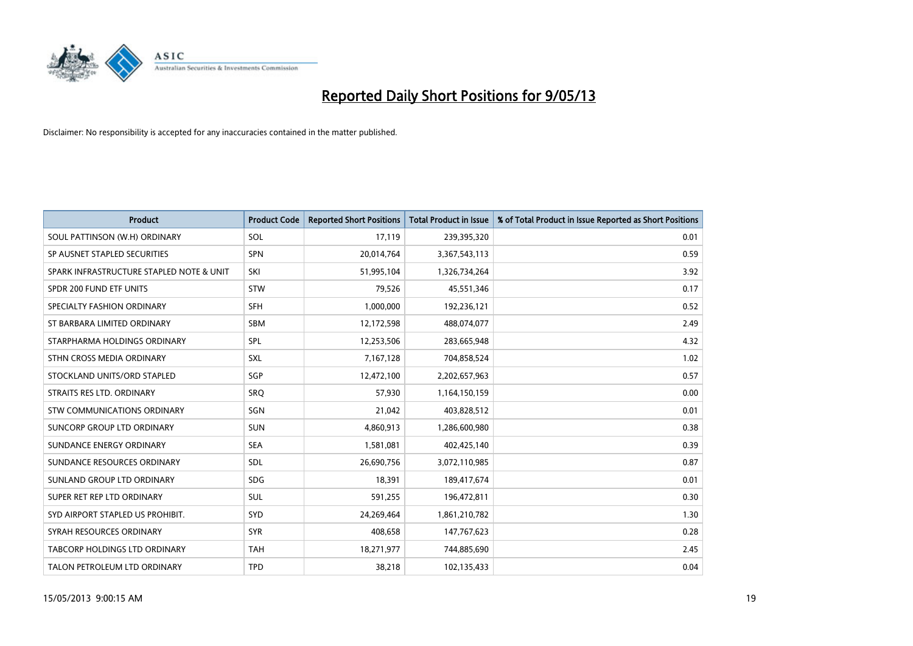

| <b>Product</b>                           | <b>Product Code</b> | <b>Reported Short Positions</b> | <b>Total Product in Issue</b> | % of Total Product in Issue Reported as Short Positions |
|------------------------------------------|---------------------|---------------------------------|-------------------------------|---------------------------------------------------------|
| SOUL PATTINSON (W.H) ORDINARY            | SOL                 | 17,119                          | 239,395,320                   | 0.01                                                    |
| SP AUSNET STAPLED SECURITIES             | <b>SPN</b>          | 20,014,764                      | 3,367,543,113                 | 0.59                                                    |
| SPARK INFRASTRUCTURE STAPLED NOTE & UNIT | SKI                 | 51,995,104                      | 1,326,734,264                 | 3.92                                                    |
| SPDR 200 FUND ETF UNITS                  | <b>STW</b>          | 79,526                          | 45,551,346                    | 0.17                                                    |
| SPECIALTY FASHION ORDINARY               | <b>SFH</b>          | 1,000,000                       | 192,236,121                   | 0.52                                                    |
| ST BARBARA LIMITED ORDINARY              | SBM                 | 12,172,598                      | 488,074,077                   | 2.49                                                    |
| STARPHARMA HOLDINGS ORDINARY             | SPL                 | 12,253,506                      | 283,665,948                   | 4.32                                                    |
| STHN CROSS MEDIA ORDINARY                | SXL                 | 7,167,128                       | 704,858,524                   | 1.02                                                    |
| STOCKLAND UNITS/ORD STAPLED              | SGP                 | 12,472,100                      | 2,202,657,963                 | 0.57                                                    |
| STRAITS RES LTD. ORDINARY                | <b>SRO</b>          | 57,930                          | 1,164,150,159                 | 0.00                                                    |
| STW COMMUNICATIONS ORDINARY              | SGN                 | 21,042                          | 403,828,512                   | 0.01                                                    |
| SUNCORP GROUP LTD ORDINARY               | <b>SUN</b>          | 4,860,913                       | 1,286,600,980                 | 0.38                                                    |
| SUNDANCE ENERGY ORDINARY                 | <b>SEA</b>          | 1,581,081                       | 402,425,140                   | 0.39                                                    |
| SUNDANCE RESOURCES ORDINARY              | SDL                 | 26,690,756                      | 3,072,110,985                 | 0.87                                                    |
| SUNLAND GROUP LTD ORDINARY               | <b>SDG</b>          | 18,391                          | 189,417,674                   | 0.01                                                    |
| SUPER RET REP LTD ORDINARY               | SUL                 | 591,255                         | 196,472,811                   | 0.30                                                    |
| SYD AIRPORT STAPLED US PROHIBIT.         | <b>SYD</b>          | 24,269,464                      | 1,861,210,782                 | 1.30                                                    |
| SYRAH RESOURCES ORDINARY                 | <b>SYR</b>          | 408,658                         | 147,767,623                   | 0.28                                                    |
| TABCORP HOLDINGS LTD ORDINARY            | <b>TAH</b>          | 18,271,977                      | 744,885,690                   | 2.45                                                    |
| TALON PETROLEUM LTD ORDINARY             | <b>TPD</b>          | 38,218                          | 102,135,433                   | 0.04                                                    |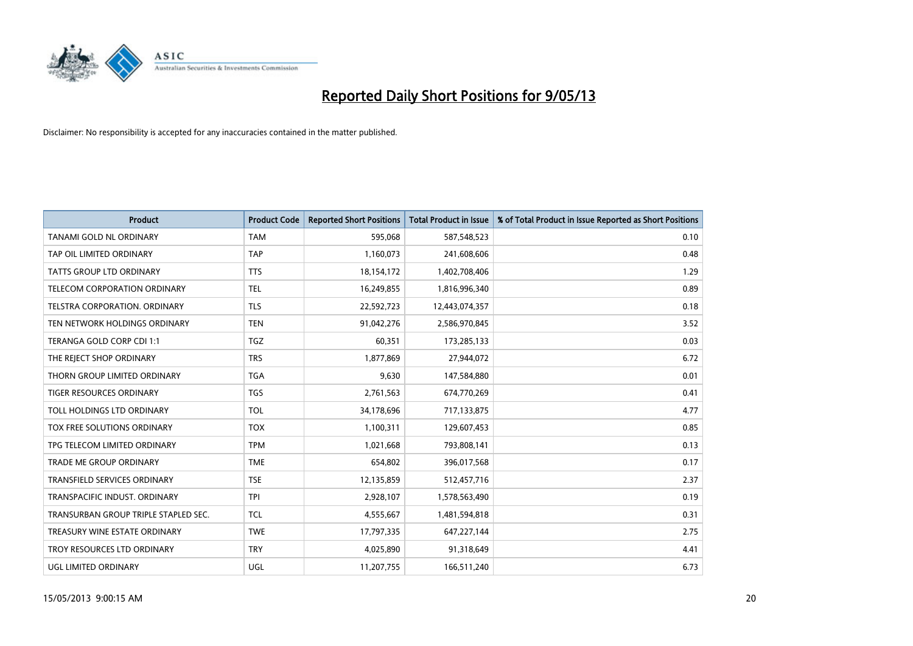

| <b>Product</b>                       | <b>Product Code</b> | <b>Reported Short Positions</b> | <b>Total Product in Issue</b> | % of Total Product in Issue Reported as Short Positions |
|--------------------------------------|---------------------|---------------------------------|-------------------------------|---------------------------------------------------------|
| TANAMI GOLD NL ORDINARY              | <b>TAM</b>          | 595,068                         | 587,548,523                   | 0.10                                                    |
| TAP OIL LIMITED ORDINARY             | <b>TAP</b>          | 1,160,073                       | 241,608,606                   | 0.48                                                    |
| <b>TATTS GROUP LTD ORDINARY</b>      | <b>TTS</b>          | 18,154,172                      | 1,402,708,406                 | 1.29                                                    |
| TELECOM CORPORATION ORDINARY         | <b>TEL</b>          | 16,249,855                      | 1,816,996,340                 | 0.89                                                    |
| TELSTRA CORPORATION, ORDINARY        | <b>TLS</b>          | 22,592,723                      | 12,443,074,357                | 0.18                                                    |
| TEN NETWORK HOLDINGS ORDINARY        | <b>TEN</b>          | 91,042,276                      | 2,586,970,845                 | 3.52                                                    |
| TERANGA GOLD CORP CDI 1:1            | <b>TGZ</b>          | 60,351                          | 173,285,133                   | 0.03                                                    |
| THE REJECT SHOP ORDINARY             | <b>TRS</b>          | 1,877,869                       | 27,944,072                    | 6.72                                                    |
| THORN GROUP LIMITED ORDINARY         | <b>TGA</b>          | 9,630                           | 147,584,880                   | 0.01                                                    |
| <b>TIGER RESOURCES ORDINARY</b>      | <b>TGS</b>          | 2,761,563                       | 674,770,269                   | 0.41                                                    |
| TOLL HOLDINGS LTD ORDINARY           | <b>TOL</b>          | 34,178,696                      | 717,133,875                   | 4.77                                                    |
| TOX FREE SOLUTIONS ORDINARY          | <b>TOX</b>          | 1,100,311                       | 129,607,453                   | 0.85                                                    |
| TPG TELECOM LIMITED ORDINARY         | <b>TPM</b>          | 1,021,668                       | 793,808,141                   | 0.13                                                    |
| <b>TRADE ME GROUP ORDINARY</b>       | <b>TME</b>          | 654,802                         | 396,017,568                   | 0.17                                                    |
| <b>TRANSFIELD SERVICES ORDINARY</b>  | <b>TSE</b>          | 12,135,859                      | 512,457,716                   | 2.37                                                    |
| TRANSPACIFIC INDUST. ORDINARY        | <b>TPI</b>          | 2,928,107                       | 1,578,563,490                 | 0.19                                                    |
| TRANSURBAN GROUP TRIPLE STAPLED SEC. | TCL                 | 4,555,667                       | 1,481,594,818                 | 0.31                                                    |
| TREASURY WINE ESTATE ORDINARY        | <b>TWE</b>          | 17,797,335                      | 647,227,144                   | 2.75                                                    |
| TROY RESOURCES LTD ORDINARY          | <b>TRY</b>          | 4,025,890                       | 91,318,649                    | 4.41                                                    |
| UGL LIMITED ORDINARY                 | UGL                 | 11,207,755                      | 166,511,240                   | 6.73                                                    |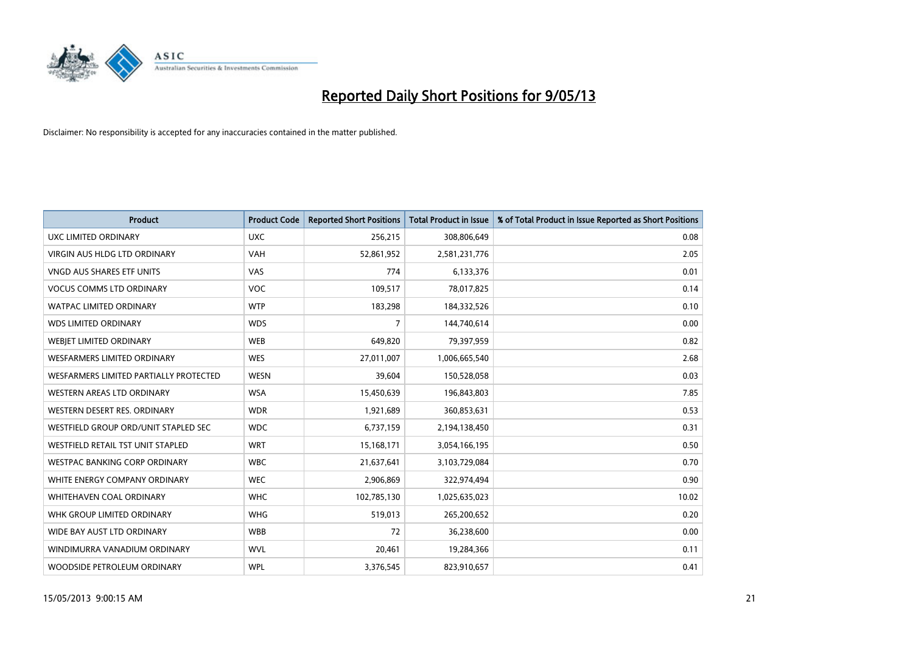

| <b>Product</b>                         | <b>Product Code</b> | <b>Reported Short Positions</b> | <b>Total Product in Issue</b> | % of Total Product in Issue Reported as Short Positions |
|----------------------------------------|---------------------|---------------------------------|-------------------------------|---------------------------------------------------------|
| <b>UXC LIMITED ORDINARY</b>            | <b>UXC</b>          | 256,215                         | 308,806,649                   | 0.08                                                    |
| VIRGIN AUS HLDG LTD ORDINARY           | <b>VAH</b>          | 52,861,952                      | 2,581,231,776                 | 2.05                                                    |
| <b>VNGD AUS SHARES ETF UNITS</b>       | VAS                 | 774                             | 6,133,376                     | 0.01                                                    |
| <b>VOCUS COMMS LTD ORDINARY</b>        | <b>VOC</b>          | 109,517                         | 78,017,825                    | 0.14                                                    |
| <b>WATPAC LIMITED ORDINARY</b>         | <b>WTP</b>          | 183,298                         | 184,332,526                   | 0.10                                                    |
| <b>WDS LIMITED ORDINARY</b>            | <b>WDS</b>          | 7                               | 144,740,614                   | 0.00                                                    |
| <b>WEBIET LIMITED ORDINARY</b>         | <b>WEB</b>          | 649,820                         | 79,397,959                    | 0.82                                                    |
| <b>WESFARMERS LIMITED ORDINARY</b>     | <b>WES</b>          | 27,011,007                      | 1,006,665,540                 | 2.68                                                    |
| WESFARMERS LIMITED PARTIALLY PROTECTED | <b>WESN</b>         | 39,604                          | 150,528,058                   | 0.03                                                    |
| WESTERN AREAS LTD ORDINARY             | <b>WSA</b>          | 15,450,639                      | 196,843,803                   | 7.85                                                    |
| WESTERN DESERT RES. ORDINARY           | <b>WDR</b>          | 1,921,689                       | 360,853,631                   | 0.53                                                    |
| WESTFIELD GROUP ORD/UNIT STAPLED SEC   | <b>WDC</b>          | 6,737,159                       | 2,194,138,450                 | 0.31                                                    |
| WESTFIELD RETAIL TST UNIT STAPLED      | <b>WRT</b>          | 15,168,171                      | 3,054,166,195                 | 0.50                                                    |
| <b>WESTPAC BANKING CORP ORDINARY</b>   | <b>WBC</b>          | 21,637,641                      | 3,103,729,084                 | 0.70                                                    |
| WHITE ENERGY COMPANY ORDINARY          | <b>WEC</b>          | 2,906,869                       | 322,974,494                   | 0.90                                                    |
| WHITEHAVEN COAL ORDINARY               | <b>WHC</b>          | 102,785,130                     | 1,025,635,023                 | 10.02                                                   |
| WHK GROUP LIMITED ORDINARY             | <b>WHG</b>          | 519,013                         | 265,200,652                   | 0.20                                                    |
| WIDE BAY AUST LTD ORDINARY             | <b>WBB</b>          | 72                              | 36,238,600                    | 0.00                                                    |
| WINDIMURRA VANADIUM ORDINARY           | <b>WVL</b>          | 20,461                          | 19,284,366                    | 0.11                                                    |
| WOODSIDE PETROLEUM ORDINARY            | <b>WPL</b>          | 3,376,545                       | 823,910,657                   | 0.41                                                    |